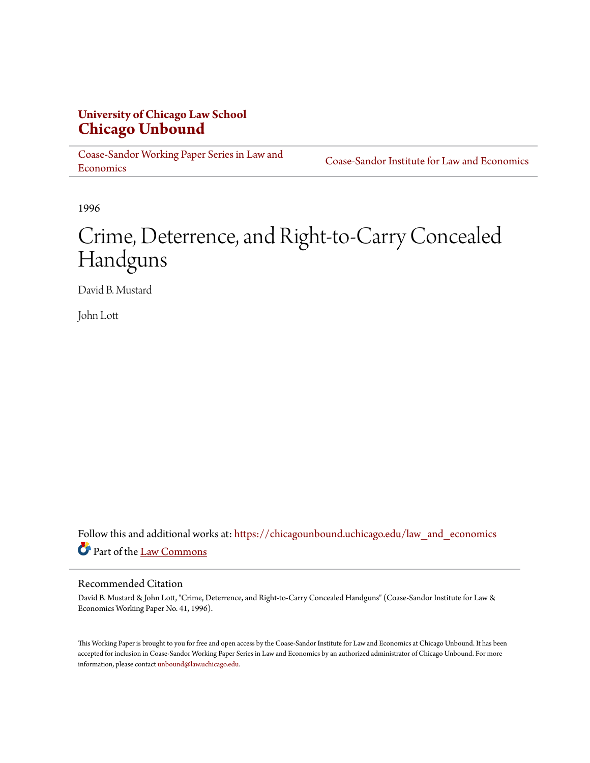# **University of Chicago Law School [Chicago Unbound](https://chicagounbound.uchicago.edu?utm_source=chicagounbound.uchicago.edu%2Flaw_and_economics%2F151&utm_medium=PDF&utm_campaign=PDFCoverPages)**

[Coase-Sandor Working Paper Series in Law and](https://chicagounbound.uchicago.edu/law_and_economics?utm_source=chicagounbound.uchicago.edu%2Flaw_and_economics%2F151&utm_medium=PDF&utm_campaign=PDFCoverPages) [Economics](https://chicagounbound.uchicago.edu/law_and_economics?utm_source=chicagounbound.uchicago.edu%2Flaw_and_economics%2F151&utm_medium=PDF&utm_campaign=PDFCoverPages)

[Coase-Sandor Institute for Law and Economics](https://chicagounbound.uchicago.edu/coase_sandor_institute?utm_source=chicagounbound.uchicago.edu%2Flaw_and_economics%2F151&utm_medium=PDF&utm_campaign=PDFCoverPages)

1996

# Crime, Deterrence, and Right-to-Carry Concealed Handguns

David B. Mustard

John Lott

Follow this and additional works at: [https://chicagounbound.uchicago.edu/law\\_and\\_economics](https://chicagounbound.uchicago.edu/law_and_economics?utm_source=chicagounbound.uchicago.edu%2Flaw_and_economics%2F151&utm_medium=PDF&utm_campaign=PDFCoverPages) Part of the [Law Commons](http://network.bepress.com/hgg/discipline/578?utm_source=chicagounbound.uchicago.edu%2Flaw_and_economics%2F151&utm_medium=PDF&utm_campaign=PDFCoverPages)

#### Recommended Citation

David B. Mustard & John Lott, "Crime, Deterrence, and Right-to-Carry Concealed Handguns" (Coase-Sandor Institute for Law & Economics Working Paper No. 41, 1996).

This Working Paper is brought to you for free and open access by the Coase-Sandor Institute for Law and Economics at Chicago Unbound. It has been accepted for inclusion in Coase-Sandor Working Paper Series in Law and Economics by an authorized administrator of Chicago Unbound. For more information, please contact [unbound@law.uchicago.edu.](mailto:unbound@law.uchicago.edu)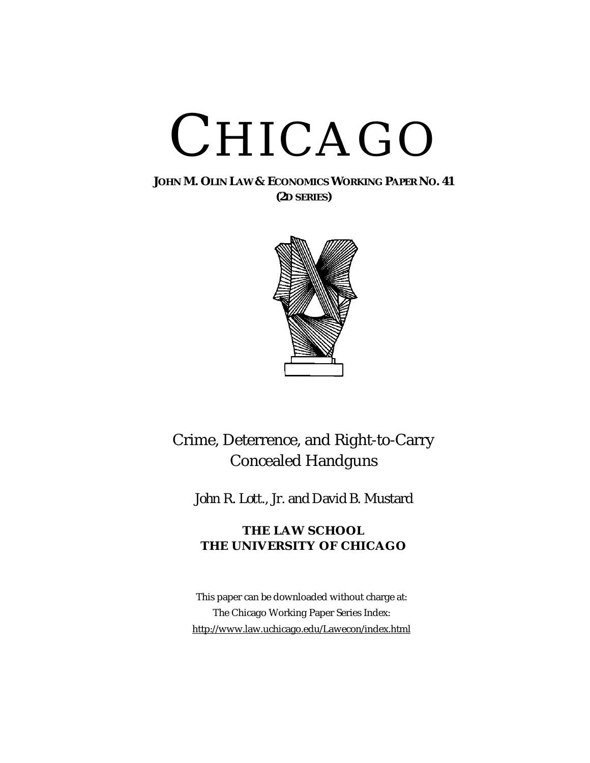# CHICAGO

**JOHN M. OLIN LAW & ECONOMICS WORKING PAPER NO. 41 (2D SERIES)**



# Crime, Deterrence, and Right-to-Carry Concealed Handguns

*John R. Lott., Jr. and David B. Mustard*

# **THE LAW SCHOOL THE UNIVERSITY OF CHICAGO**

This paper can be downloaded without charge at: The Chicago Working Paper Series Index: [http://www.law.uchicago.edu/Lawecon/index.html](http://www.law.uchicago.edu/Publications/Working/index.html)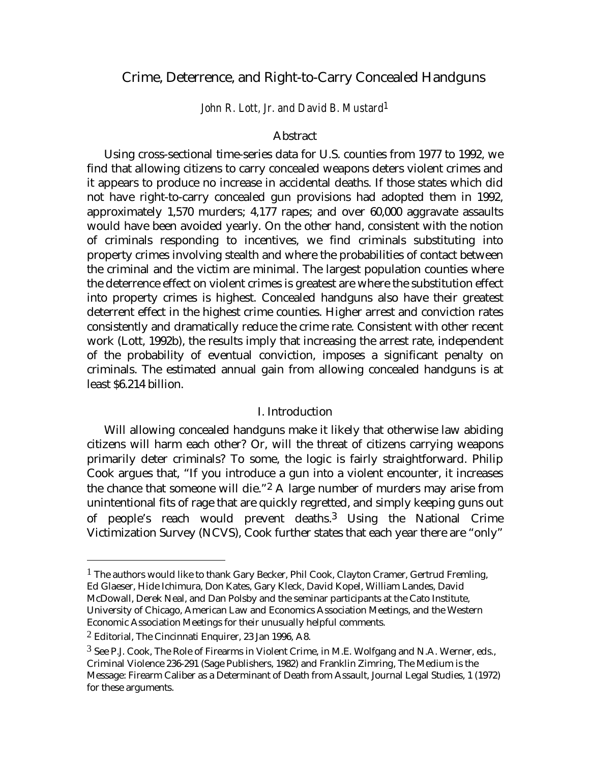# Crime, Deterrence, and Right-to-Carry Concealed Handguns

*John R. Lott, Jr. and David B. Mustard1*

#### **Abstract**

Using cross-sectional time-series data for U.S. counties from 1977 to 1992, we find that allowing citizens to carry concealed weapons deters violent crimes and it appears to produce no increase in accidental deaths. If those states which did not have right-to-carry concealed gun provisions had adopted them in 1992, approximately 1,570 murders; 4,177 rapes; and over 60,000 aggravate assaults would have been avoided yearly. On the other hand, consistent with the notion of criminals responding to incentives, we find criminals substituting into property crimes involving stealth and where the probabilities of contact between the criminal and the victim are minimal. The largest population counties where the deterrence effect on violent crimes is greatest are where the substitution effect into property crimes is highest. Concealed handguns also have their greatest deterrent effect in the highest crime counties. Higher arrest and conviction rates consistently and dramatically reduce the crime rate. Consistent with other recent work (Lott, 1992b), the results imply that increasing the arrest rate, independent of the probability of eventual conviction, imposes a significant penalty on criminals. The estimated annual gain from allowing concealed handguns is at least \$6.214 billion.

#### I. Introduction

Will allowing concealed handguns make it likely that otherwise law abiding citizens will harm each other? Or, will the threat of citizens carrying weapons primarily deter criminals? To some, the logic is fairly straightforward. Philip Cook argues that, "If you introduce a gun into a violent encounter, it increases the chance that someone will die."2 A large number of murders may arise from unintentional fits of rage that are quickly regretted, and simply keeping guns out of people's reach would prevent deaths.3 Using the National Crime Victimization Survey (NCVS), Cook further states that each year there are "only"

<sup>&</sup>lt;sup>1</sup> The authors would like to thank Gary Becker, Phil Cook, Clayton Cramer, Gertrud Fremling, Ed Glaeser, Hide Ichimura, Don Kates, Gary Kleck, David Kopel, William Landes, David McDowall, Derek Neal, and Dan Polsby and the seminar participants at the Cato Institute, University of Chicago, American Law and Economics Association Meetings, and the Western Economic Association Meetings for their unusually helpful comments.

<sup>2</sup> Editorial, The Cincinnati Enquirer, 23 Jan 1996, A8.

 $3$  See P.J. Cook, The Role of Firearms in Violent Crime, in M.E. Wolfgang and N.A. Werner, eds., Criminal Violence 236-291 (Sage Publishers, 1982) and Franklin Zimring, The Medium is the Message: Firearm Caliber as a Determinant of Death from Assault, Journal Legal Studies, 1 (1972) for these arguments.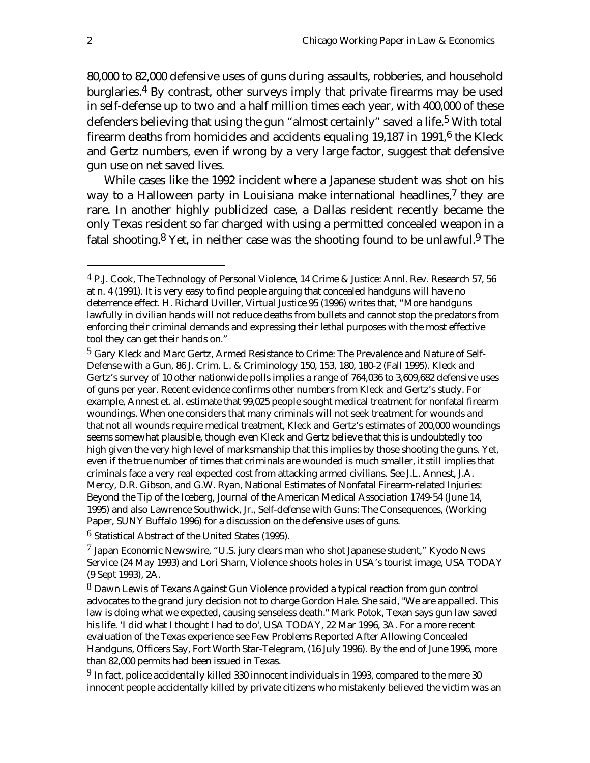80,000 to 82,000 defensive uses of guns during assaults, robberies, and household burglaries.4 By contrast, other surveys imply that private firearms may be used in self-defense up to two and a half million times each year, with 400,000 of these defenders believing that using the gun "almost certainly" saved a life.<sup>5</sup> With total firearm deaths from homicides and accidents equaling  $19,187$  in  $1991,6$  the Kleck and Gertz numbers, even if wrong by a very large factor, suggest that defensive gun use on net saved lives.

While cases like the 1992 incident where a Japanese student was shot on his way to a Halloween party in Louisiana make international headlines,<sup>7</sup> they are rare. In another highly publicized case, a Dallas resident recently became the only Texas resident so far charged with using a permitted concealed weapon in a fatal shooting.<sup>8</sup> Yet, in neither case was the shooting found to be unlawful.<sup>9</sup> The

6 Statistical Abstract of the United States (1995).

<sup>7</sup> Japan Economic Newswire, "U.S. jury clears man who shot Japanese student," Kyodo News Service (24 May 1993) and Lori Sharn, Violence shoots holes in USA's tourist image, USA TODAY (9 Sept 1993), 2A.

<sup>8</sup> Dawn Lewis of Texans Against Gun Violence provided a typical reaction from gun control advocates to the grand jury decision not to charge Gordon Hale. She said, "We are appalled. This law is doing what we expected, causing senseless death." Mark Potok, Texan says gun law saved his life. 'I did what I thought I had to do', USA TODAY, 22 Mar 1996, 3A. For a more recent evaluation of the Texas experience see Few Problems Reported After Allowing Concealed Handguns, Officers Say, Fort Worth Star-Telegram, (16 July 1996). By the end of June 1996, more than 82,000 permits had been issued in Texas.

 $9$  In fact, police accidentally killed 330 innocent individuals in 1993, compared to the mere 30 innocent people accidentally killed by private citizens who mistakenly believed the victim was an

<sup>4</sup> P.J. Cook, The Technology of Personal Violence, 14 Crime & Justice: Annl. Rev. Research 57, 56 at n. 4 (1991). It is very easy to find people arguing that concealed handguns will have no deterrence effect. H. Richard Uviller, Virtual Justice 95 (1996) writes that, "More handguns lawfully in civilian hands will not reduce deaths from bullets and cannot stop the predators from enforcing their criminal demands and expressing their lethal purposes with the most effective tool they can get their hands on."

<sup>5</sup> Gary Kleck and Marc Gertz, Armed Resistance to Crime: The Prevalence and Nature of Self-Defense with a Gun, 86 J. Crim. L. & Criminology 150, 153, 180, 180-2 (Fall 1995). Kleck and Gertz's survey of 10 other nationwide polls implies a range of 764,036 to 3,609,682 defensive uses of guns per year. Recent evidence confirms other numbers from Kleck and Gertz's study. For example, Annest et. al. estimate that 99,025 people sought medical treatment for nonfatal firearm woundings. When one considers that many criminals will not seek treatment for wounds and that not all wounds require medical treatment, Kleck and Gertz's estimates of 200,000 woundings seems somewhat plausible, though even Kleck and Gertz believe that this is undoubtedly too high given the very high level of marksmanship that this implies by those shooting the guns. Yet, even if the true number of times that criminals are wounded is much smaller, it still implies that criminals face a very real expected cost from attacking armed civilians. See J.L. Annest, J.A. Mercy, D.R. Gibson, and G.W. Ryan, National Estimates of Nonfatal Firearm-related Injuries: Beyond the Tip of the Iceberg, Journal of the American Medical Association 1749-54 (June 14, 1995) and also Lawrence Southwick, Jr., Self-defense with Guns: The Consequences, (Working Paper, SUNY Buffalo 1996) for a discussion on the defensive uses of guns.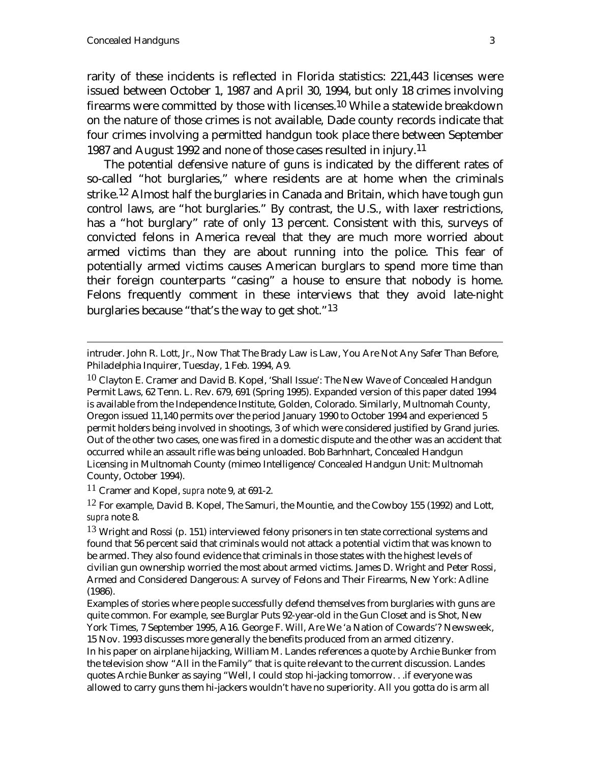rarity of these incidents is reflected in Florida statistics: 221,443 licenses were issued between October 1, 1987 and April 30, 1994, but only 18 crimes involving firearms were committed by those with licenses.<sup>10</sup> While a statewide breakdown on the nature of those crimes is not available, Dade county records indicate that four crimes involving a permitted handgun took place there between September 1987 and August 1992 and none of those cases resulted in injury.11

The potential defensive nature of guns is indicated by the different rates of so-called "hot burglaries," where residents are at home when the criminals strike.<sup>12</sup> Almost half the burglaries in Canada and Britain, which have tough gun control laws, are "hot burglaries." By contrast, the U.S., with laxer restrictions, has a "hot burglary" rate of only 13 percent. Consistent with this, surveys of convicted felons in America reveal that they are much more worried about armed victims than they are about running into the police. This fear of potentially armed victims causes American burglars to spend more time than their foreign counterparts "casing" a house to ensure that nobody is home. Felons frequently comment in these interviews that they avoid late-night burglaries because "that's the way to get shot."13

10 Clayton E. Cramer and David B. Kopel, 'Shall Issue': The New Wave of Concealed Handgun Permit Laws, 62 Tenn. L. Rev. 679, 691 (Spring 1995). Expanded version of this paper dated 1994 is available from the Independence Institute, Golden, Colorado. Similarly, Multnomah County, Oregon issued 11,140 permits over the period January 1990 to October 1994 and experienced 5 permit holders being involved in shootings, 3 of which were considered justified by Grand juries. Out of the other two cases, one was fired in a domestic dispute and the other was an accident that occurred while an assault rifle was being unloaded. Bob Barhnhart, Concealed Handgun Licensing in Multnomah County (mimeo Intelligence/Concealed Handgun Unit: Multnomah County, October 1994).

11 Cramer and Kopel, *supra* note 9, at 691-2.

12 For example, David B. Kopel, The Samuri, the Mountie, and the Cowboy 155 (1992) and Lott, *supra* note 8.

In his paper on airplane hijacking, William M. Landes references a quote by Archie Bunker from the television show "All in the Family" that is quite relevant to the current discussion. Landes quotes Archie Bunker as saying "Well, I could stop hi-jacking tomorrow. . .if everyone was allowed to carry guns them hi-jackers wouldn't have no superiority. All you gotta do is arm all

intruder. John R. Lott, Jr., Now That The Brady Law is Law, You Are Not Any Safer Than Before, Philadelphia Inquirer, Tuesday, 1 Feb. 1994, A9.

<sup>&</sup>lt;sup>13</sup> Wright and Rossi (p. 151) interviewed felony prisoners in ten state correctional systems and found that 56 percent said that criminals would not attack a potential victim that was known to be armed. They also found evidence that criminals in those states with the highest levels of civilian gun ownership worried the most about armed victims. James D. Wright and Peter Rossi, Armed and Considered Dangerous: A survey of Felons and Their Firearms, New York: Adline (1986).

Examples of stories where people successfully defend themselves from burglaries with guns are quite common. For example, see Burglar Puts 92-year-old in the Gun Closet and is Shot, New York Times, 7 September 1995, A16. George F. Will, Are We 'a Nation of Cowards'? Newsweek, 15 Nov. 1993 discusses more generally the benefits produced from an armed citizenry.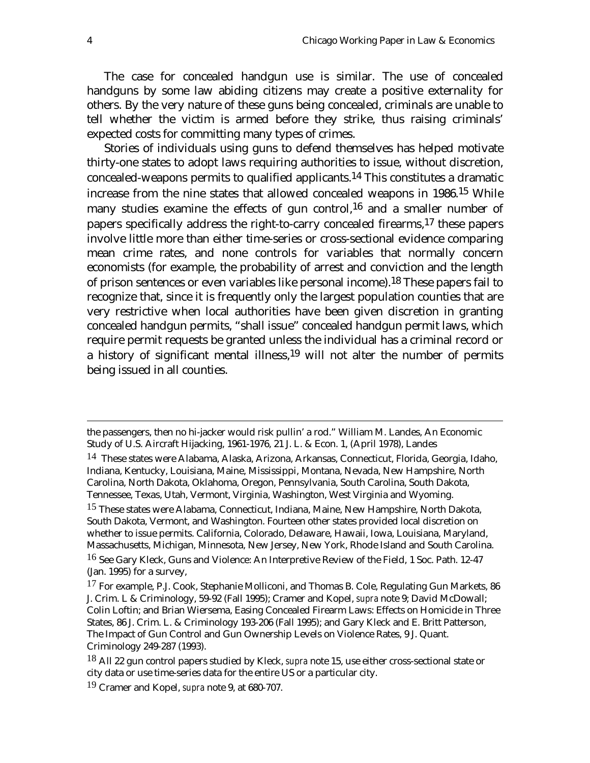The case for concealed handgun use is similar. The use of concealed handguns by some law abiding citizens may create a positive externality for others. By the very nature of these guns being concealed, criminals are unable to tell whether the victim is armed before they strike, thus raising criminals' expected costs for committing many types of crimes.

Stories of individuals using guns to defend themselves has helped motivate thirty-one states to adopt laws requiring authorities to issue, without discretion, concealed-weapons permits to qualified applicants.14 This constitutes a dramatic increase from the nine states that allowed concealed weapons in 1986.15 While many studies examine the effects of gun control,  $16$  and a smaller number of papers specifically address the right-to-carry concealed firearms,17 these papers involve little more than either time-series or cross-sectional evidence comparing mean crime rates, and none controls for variables that normally concern economists (for example, the probability of arrest and conviction and the length of prison sentences or even variables like personal income).18 These papers fail to recognize that, since it is frequently only the largest population counties that are very restrictive when local authorities have been given discretion in granting concealed handgun permits, "shall issue" concealed handgun permit laws, which require permit requests be granted unless the individual has a criminal record or a history of significant mental illness,<sup>19</sup> will not alter the number of permits being issued in all counties.

the passengers, then no hi-jacker would risk pullin' a rod." William M. Landes, An Economic Study of U.S. Aircraft Hijacking, 1961-1976, 21 J. L. & Econ. 1, (April 1978), Landes

<sup>14</sup> These states were Alabama, Alaska, Arizona, Arkansas, Connecticut, Florida, Georgia, Idaho, Indiana, Kentucky, Louisiana, Maine, Mississippi, Montana, Nevada, New Hampshire, North Carolina, North Dakota, Oklahoma, Oregon, Pennsylvania, South Carolina, South Dakota, Tennessee, Texas, Utah, Vermont, Virginia, Washington, West Virginia and Wyoming.

<sup>15</sup> These states were Alabama, Connecticut, Indiana, Maine, New Hampshire, North Dakota, South Dakota, Vermont, and Washington. Fourteen other states provided local discretion on whether to issue permits. California, Colorado, Delaware, Hawaii, Iowa, Louisiana, Maryland, Massachusetts, Michigan, Minnesota, New Jersey, New York, Rhode Island and South Carolina.

<sup>16</sup> See Gary Kleck, Guns and Violence: An Interpretive Review of the Field, 1 Soc. Path. 12-47 (Jan. 1995) for a survey,

<sup>&</sup>lt;sup>17</sup> For example, P.J. Cook, Stephanie Molliconi, and Thomas B. Cole, Regulating Gun Markets, 86 J. Crim. L & Criminology, 59-92 (Fall 1995); Cramer and Kopel, *supra* note 9; David McDowall; Colin Loftin; and Brian Wiersema, Easing Concealed Firearm Laws: Effects on Homicide in Three States, 86 J. Crim. L. & Criminology 193-206 (Fall 1995); and Gary Kleck and E. Britt Patterson, The Impact of Gun Control and Gun Ownership Levels on Violence Rates, 9 J. Quant. Criminology 249-287 (1993).

<sup>18</sup> All 22 gun control papers studied by Kleck, *supra* note 15, use either cross-sectional state or city data or use time-series data for the entire US or a particular city.

<sup>19</sup> Cramer and Kopel, *supra* note 9, at 680-707.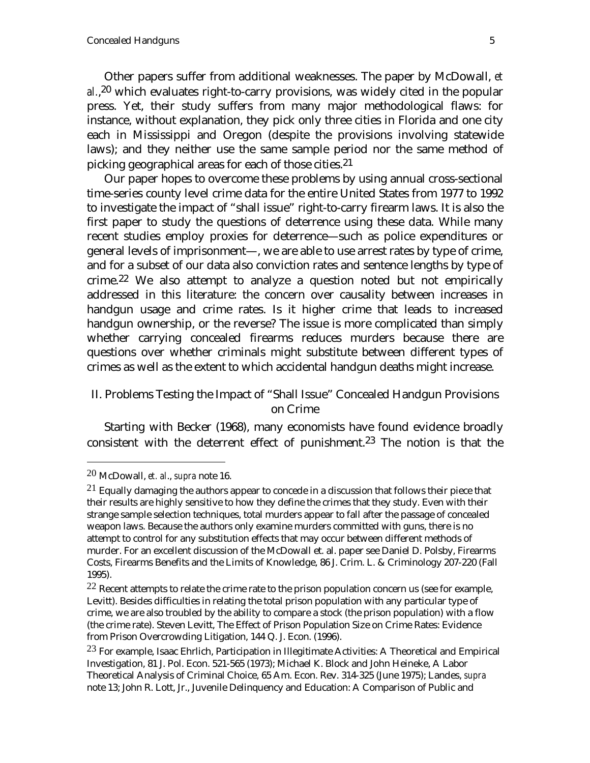Other papers suffer from additional weaknesses. The paper by McDowall, *et al.*, 20 which evaluates right-to-carry provisions, was widely cited in the popular press. Yet, their study suffers from many major methodological flaws: for instance, without explanation, they pick only three cities in Florida and one city each in Mississippi and Oregon (despite the provisions involving statewide laws); and they neither use the same sample period nor the same method of picking geographical areas for each of those cities.21

Our paper hopes to overcome these problems by using annual cross-sectional time-series county level crime data for the entire United States from 1977 to 1992 to investigate the impact of "shall issue" right-to-carry firearm laws. It is also the first paper to study the questions of deterrence using these data. While many recent studies employ proxies for deterrence—such as police expenditures or general levels of imprisonment—, we are able to use arrest rates by type of crime, and for a subset of our data also conviction rates and sentence lengths by type of crime.22 We also attempt to analyze a question noted but not empirically addressed in this literature: the concern over causality between increases in handgun usage and crime rates. Is it higher crime that leads to increased handgun ownership, or the reverse? The issue is more complicated than simply whether carrying concealed firearms reduces murders because there are questions over whether criminals might substitute between different types of crimes as well as the extent to which accidental handgun deaths might increase.

## II. Problems Testing the Impact of "Shall Issue" Concealed Handgun Provisions on Crime

Starting with Becker (1968), many economists have found evidence broadly consistent with the deterrent effect of punishment.<sup>23</sup> The notion is that the

<sup>20</sup> McDowall, *et. al*., *supra* note 16.

 $21$  Equally damaging the authors appear to concede in a discussion that follows their piece that their results are highly sensitive to how they define the crimes that they study. Even with their strange sample selection techniques, total murders appear to fall after the passage of concealed weapon laws. Because the authors only examine murders committed with guns, there is no attempt to control for any substitution effects that may occur between different methods of murder. For an excellent discussion of the McDowall et. al. paper see Daniel D. Polsby, Firearms Costs, Firearms Benefits and the Limits of Knowledge, 86 J. Crim. L. & Criminology 207-220 (Fall 1995).

 $22$  Recent attempts to relate the crime rate to the prison population concern us (see for example, Levitt). Besides difficulties in relating the total prison population with any particular type of crime, we are also troubled by the ability to compare a stock (the prison population) with a flow (the crime rate). Steven Levitt, The Effect of Prison Population Size on Crime Rates: Evidence from Prison Overcrowding Litigation, 144 Q. J. Econ. (1996).

 $23$  For example, Isaac Ehrlich, Participation in Illegitimate Activities: A Theoretical and Empirical Investigation, 81 J. Pol. Econ. 521-565 (1973); Michael K. Block and John Heineke, A Labor Theoretical Analysis of Criminal Choice, 65 Am. Econ. Rev. 314-325 (June 1975); Landes, *supra* note 13; John R. Lott, Jr., Juvenile Delinquency and Education: A Comparison of Public and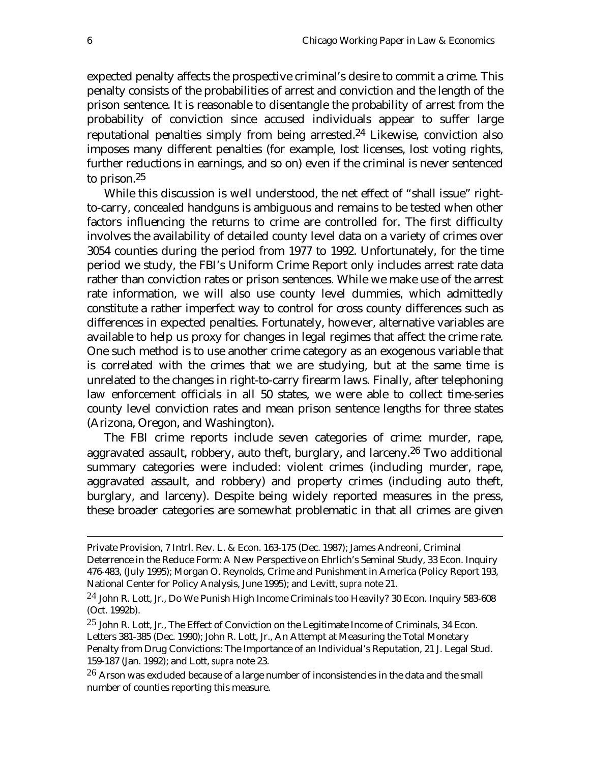expected penalty affects the prospective criminal's desire to commit a crime. This penalty consists of the probabilities of arrest and conviction and the length of the prison sentence. It is reasonable to disentangle the probability of arrest from the probability of conviction since accused individuals appear to suffer large reputational penalties simply from being arrested.<sup>24</sup> Likewise, conviction also imposes many different penalties (for example, lost licenses, lost voting rights, further reductions in earnings, and so on) even if the criminal is never sentenced to prison.25

While this discussion is well understood, the net effect of "shall issue" rightto-carry, concealed handguns is ambiguous and remains to be tested when other factors influencing the returns to crime are controlled for. The first difficulty involves the availability of detailed county level data on a variety of crimes over 3054 counties during the period from 1977 to 1992. Unfortunately, for the time period we study, the FBI's Uniform Crime Report only includes arrest rate data rather than conviction rates or prison sentences. While we make use of the arrest rate information, we will also use county level dummies, which admittedly constitute a rather imperfect way to control for cross county differences such as differences in expected penalties. Fortunately, however, alternative variables are available to help us proxy for changes in legal regimes that affect the crime rate. One such method is to use another crime category as an exogenous variable that is correlated with the crimes that we are studying, but at the same time is unrelated to the changes in right-to-carry firearm laws. Finally, after telephoning law enforcement officials in all 50 states, we were able to collect time-series county level conviction rates and mean prison sentence lengths for three states (Arizona, Oregon, and Washington).

The FBI crime reports include seven categories of crime: murder, rape, aggravated assault, robbery, auto theft, burglary, and larceny.26 Two additional summary categories were included: violent crimes (including murder, rape, aggravated assault, and robbery) and property crimes (including auto theft, burglary, and larceny). Despite being widely reported measures in the press, these broader categories are somewhat problematic in that all crimes are given

Private Provision, 7 Intrl. Rev. L. & Econ. 163-175 (Dec. 1987); James Andreoni, Criminal Deterrence in the Reduce Form: A New Perspective on Ehrlich's Seminal Study, 33 Econ. Inquiry 476-483, (July 1995); Morgan O. Reynolds, Crime and Punishment in America (Policy Report 193, National Center for Policy Analysis, June 1995); and Levitt, *supra* note 21.

<sup>&</sup>lt;sup>24</sup> John R. Lott, Jr., Do We Punish High Income Criminals too Heavily? 30 Econ. Inquiry 583-608 (Oct. 1992b).

<sup>25</sup> John R. Lott, Jr., The Effect of Conviction on the Legitimate Income of Criminals, 34 Econ. Letters 381-385 (Dec. 1990); John R. Lott, Jr., An Attempt at Measuring the Total Monetary Penalty from Drug Convictions: The Importance of an Individual's Reputation, 21 J. Legal Stud. 159-187 (Jan. 1992); and Lott, *supra* note 23.

 $26$  Arson was excluded because of a large number of inconsistencies in the data and the small number of counties reporting this measure.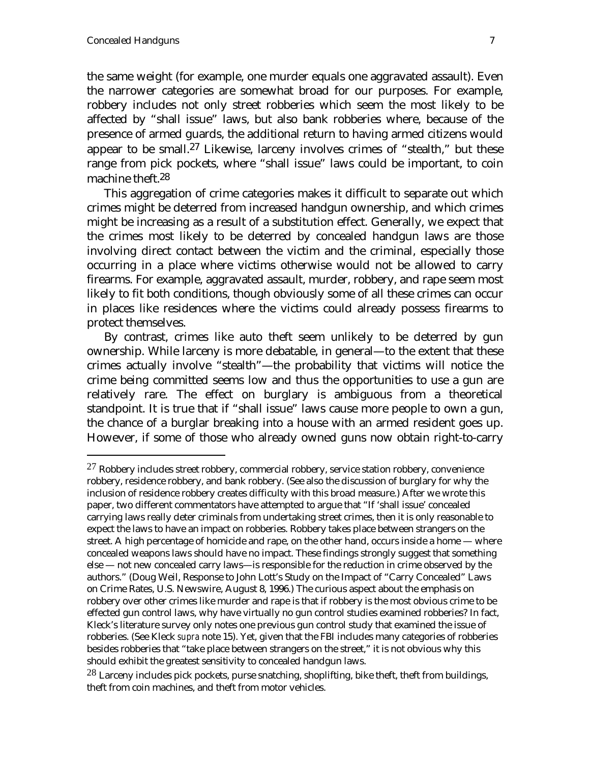the same weight (for example, one murder equals one aggravated assault). Even the narrower categories are somewhat broad for our purposes. For example, robbery includes not only street robberies which seem the most likely to be affected by "shall issue" laws, but also bank robberies where, because of the presence of armed guards, the additional return to having armed citizens would appear to be small.27 Likewise, larceny involves crimes of "stealth," but these range from pick pockets, where "shall issue" laws could be important, to coin machine theft.28

This aggregation of crime categories makes it difficult to separate out which crimes might be deterred from increased handgun ownership, and which crimes might be increasing as a result of a substitution effect. Generally, we expect that the crimes most likely to be deterred by concealed handgun laws are those involving direct contact between the victim and the criminal, especially those occurring in a place where victims otherwise would not be allowed to carry firearms. For example, aggravated assault, murder, robbery, and rape seem most likely to fit both conditions, though obviously some of all these crimes can occur in places like residences where the victims could already possess firearms to protect themselves.

By contrast, crimes like auto theft seem unlikely to be deterred by gun ownership. While larceny is more debatable, in general—to the extent that these crimes actually involve "stealth"—the probability that victims will notice the crime being committed seems low and thus the opportunities to use a gun are relatively rare. The effect on burglary is ambiguous from a theoretical standpoint. It is true that if "shall issue" laws cause more people to own a gun, the chance of a burglar breaking into a house with an armed resident goes up. However, if some of those who already owned guns now obtain right-to-carry

 $^{27}$  Robbery includes street robbery, commercial robbery, service station robbery, convenience robbery, residence robbery, and bank robbery. (See also the discussion of burglary for why the inclusion of residence robbery creates difficulty with this broad measure.) After we wrote this paper, two different commentators have attempted to argue that "If 'shall issue' concealed carrying laws really deter criminals from undertaking street crimes, then it is only reasonable to expect the laws to have an impact on robberies. Robbery takes place between strangers on the street. A high percentage of homicide and rape, on the other hand, occurs inside a home — where concealed weapons laws should have no impact. These findings strongly suggest that something else — not new concealed carry laws—is responsible for the reduction in crime observed by the authors." (Doug Weil, Response to John Lott's Study on the Impact of "Carry Concealed" Laws on Crime Rates, U.S. Newswire, August 8, 1996.) The curious aspect about the emphasis on robbery over other crimes like murder and rape is that if robbery is the most obvious crime to be effected gun control laws, why have virtually no gun control studies examined robberies? In fact, Kleck's literature survey only notes one previous gun control study that examined the issue of robberies. (See Kleck *supra* note 15). Yet, given that the FBI includes many categories of robberies besides robberies that "take place between strangers on the street," it is not obvious why this should exhibit the greatest sensitivity to concealed handgun laws.

 $^{28}$  Larceny includes pick pockets, purse snatching, shoplifting, bike theft, theft from buildings, theft from coin machines, and theft from motor vehicles.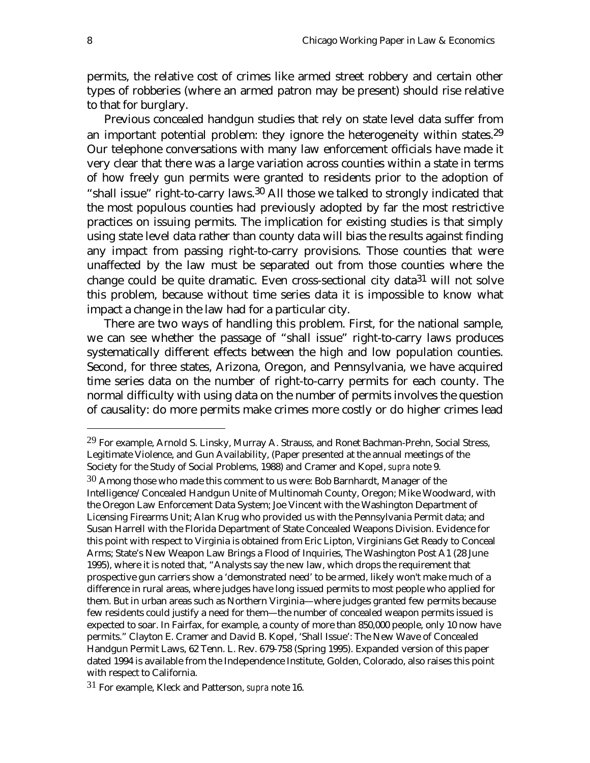permits, the relative cost of crimes like armed street robbery and certain other types of robberies (where an armed patron may be present) should rise relative to that for burglary.

Previous concealed handgun studies that rely on state level data suffer from an important potential problem: they ignore the heterogeneity within states.<sup>29</sup> Our telephone conversations with many law enforcement officials have made it very clear that there was a large variation across counties within a state in terms of how freely gun permits were granted to residents prior to the adoption of "shall issue" right-to-carry laws.30 All those we talked to strongly indicated that the most populous counties had previously adopted by far the most restrictive practices on issuing permits. The implication for existing studies is that simply using state level data rather than county data will bias the results against finding any impact from passing right-to-carry provisions. Those counties that were unaffected by the law must be separated out from those counties where the change could be quite dramatic. Even cross-sectional city data<sup>31</sup> will not solve this problem, because without time series data it is impossible to know what impact a change in the law had for a particular city.

There are two ways of handling this problem. First, for the national sample, we can see whether the passage of "shall issue" right-to-carry laws produces systematically different effects between the high and low population counties. Second, for three states, Arizona, Oregon, and Pennsylvania, we have acquired time series data on the number of right-to-carry permits for each county. The normal difficulty with using data on the number of permits involves the question of causality: do more permits make crimes more costly or do higher crimes lead

 $29$  For example, Arnold S. Linsky, Murray A. Strauss, and Ronet Bachman-Prehn, Social Stress, Legitimate Violence, and Gun Availability, (Paper presented at the annual meetings of the Society for the Study of Social Problems, 1988) and Cramer and Kopel, *supra* note 9.  $30$  Among those who made this comment to us were: Bob Barnhardt, Manager of the Intelligence/Concealed Handgun Unite of Multinomah County, Oregon; Mike Woodward, with the Oregon Law Enforcement Data System; Joe Vincent with the Washington Department of Licensing Firearms Unit; Alan Krug who provided us with the Pennsylvania Permit data; and Susan Harrell with the Florida Department of State Concealed Weapons Division. Evidence for this point with respect to Virginia is obtained from Eric Lipton, Virginians Get Ready to Conceal Arms; State's New Weapon Law Brings a Flood of Inquiries, The Washington Post A1 (28 June 1995), where it is noted that, "Analysts say the new law, which drops the requirement that prospective gun carriers show a 'demonstrated need' to be armed, likely won't make much of a difference in rural areas, where judges have long issued permits to most people who applied for them. But in urban areas such as Northern Virginia—where judges granted few permits because few residents could justify a need for them—the number of concealed weapon permits issued is expected to soar. In Fairfax, for example, a county of more than 850,000 people, only 10 now have permits." Clayton E. Cramer and David B. Kopel, 'Shall Issue': The New Wave of Concealed Handgun Permit Laws, 62 Tenn. L. Rev. 679-758 (Spring 1995). Expanded version of this paper dated 1994 is available from the Independence Institute, Golden, Colorado, also raises this point with respect to California.

<sup>31</sup> For example, Kleck and Patterson, *supra* note 16.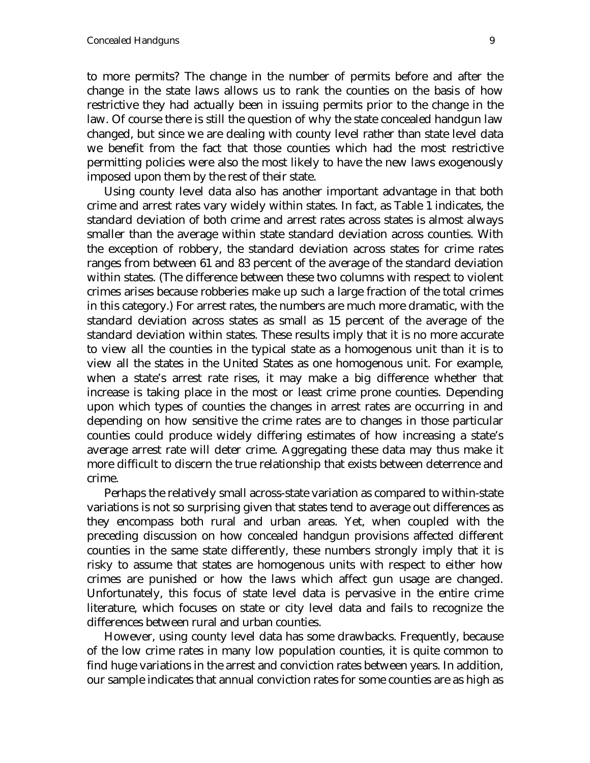to more permits? The change in the number of permits before and after the change in the state laws allows us to rank the counties on the basis of how restrictive they had actually been in issuing permits prior to the change in the law. Of course there is still the question of why the state concealed handgun law changed, but since we are dealing with county level rather than state level data we benefit from the fact that those counties which had the most restrictive permitting policies were also the most likely to have the new laws exogenously imposed upon them by the rest of their state.

Using county level data also has another important advantage in that both crime and arrest rates vary widely within states. In fact, as Table 1 indicates, the standard deviation of both crime and arrest rates across states is almost always smaller than the average within state standard deviation across counties. With the exception of robbery, the standard deviation across states for crime rates ranges from between 61 and 83 percent of the average of the standard deviation within states. (The difference between these two columns with respect to violent crimes arises because robberies make up such a large fraction of the total crimes in this category.) For arrest rates, the numbers are much more dramatic, with the standard deviation across states as small as 15 percent of the average of the standard deviation within states. These results imply that it is no more accurate to view all the counties in the typical state as a homogenous unit than it is to view all the states in the United States as one homogenous unit. For example, when a state's arrest rate rises, it may make a big difference whether that increase is taking place in the most or least crime prone counties. Depending upon which types of counties the changes in arrest rates are occurring in and depending on how sensitive the crime rates are to changes in those particular counties could produce widely differing estimates of how increasing a state's average arrest rate will deter crime. Aggregating these data may thus make it more difficult to discern the true relationship that exists between deterrence and crime.

Perhaps the relatively small across-state variation as compared to within-state variations is not so surprising given that states tend to average out differences as they encompass both rural and urban areas. Yet, when coupled with the preceding discussion on how concealed handgun provisions affected different counties in the same state differently, these numbers strongly imply that it is risky to assume that states are homogenous units with respect to either how crimes are punished or how the laws which affect gun usage are changed. Unfortunately, this focus of state level data is pervasive in the entire crime literature, which focuses on state or city level data and fails to recognize the differences between rural and urban counties.

However, using county level data has some drawbacks. Frequently, because of the low crime rates in many low population counties, it is quite common to find huge variations in the arrest and conviction rates between years. In addition, our sample indicates that annual conviction rates for some counties are as high as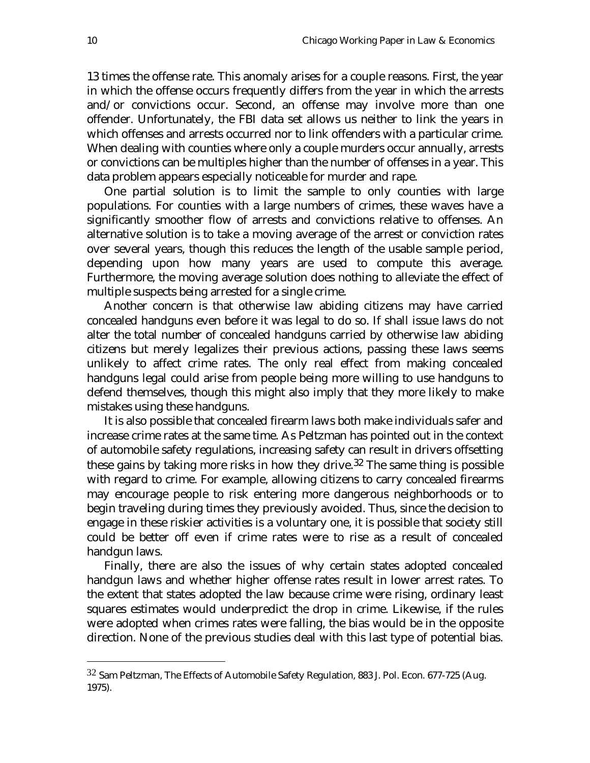13 times the offense rate. This anomaly arises for a couple reasons. First, the year in which the offense occurs frequently differs from the year in which the arrests and/or convictions occur. Second, an offense may involve more than one offender. Unfortunately, the FBI data set allows us neither to link the years in which offenses and arrests occurred nor to link offenders with a particular crime. When dealing with counties where only a couple murders occur annually, arrests or convictions can be multiples higher than the number of offenses in a year. This data problem appears especially noticeable for murder and rape.

One partial solution is to limit the sample to only counties with large populations. For counties with a large numbers of crimes, these waves have a significantly smoother flow of arrests and convictions relative to offenses. An alternative solution is to take a moving average of the arrest or conviction rates over several years, though this reduces the length of the usable sample period, depending upon how many years are used to compute this average. Furthermore, the moving average solution does nothing to alleviate the effect of multiple suspects being arrested for a single crime.

Another concern is that otherwise law abiding citizens may have carried concealed handguns even before it was legal to do so. If shall issue laws do not alter the total number of concealed handguns carried by otherwise law abiding citizens but merely legalizes their previous actions, passing these laws seems unlikely to affect crime rates. The only real effect from making concealed handguns legal could arise from people being more willing to use handguns to defend themselves, though this might also imply that they more likely to make mistakes using these handguns.

It is also possible that concealed firearm laws both make individuals safer and increase crime rates at the same time. As Peltzman has pointed out in the context of automobile safety regulations, increasing safety can result in drivers offsetting these gains by taking more risks in how they drive.32 The same thing is possible with regard to crime. For example, allowing citizens to carry concealed firearms may encourage people to risk entering more dangerous neighborhoods or to begin traveling during times they previously avoided. Thus, since the decision to engage in these riskier activities is a voluntary one, it is possible that society still could be better off even if crime rates were to rise as a result of concealed handgun laws.

Finally, there are also the issues of why certain states adopted concealed handgun laws and whether higher offense rates result in lower arrest rates. To the extent that states adopted the law because crime were rising, ordinary least squares estimates would underpredict the drop in crime. Likewise, if the rules were adopted when crimes rates were falling, the bias would be in the opposite direction. None of the previous studies deal with this last type of potential bias.

<sup>32</sup> Sam Peltzman, The Effects of Automobile Safety Regulation, 883 J. Pol. Econ. 677-725 (Aug. 1975).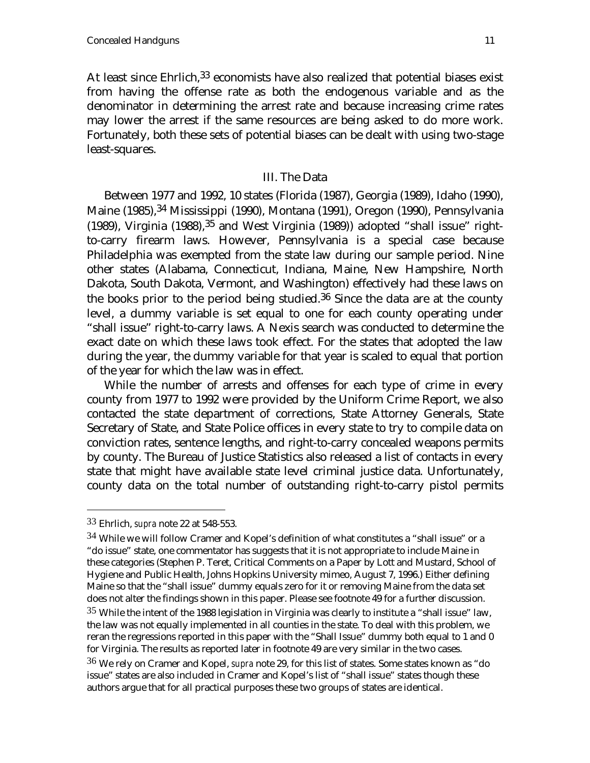At least since Ehrlich, 33 economists have also realized that potential biases exist from having the offense rate as both the endogenous variable and as the denominator in determining the arrest rate and because increasing crime rates may lower the arrest if the same resources are being asked to do more work. Fortunately, both these sets of potential biases can be dealt with using two-stage least-squares.

#### III. The Data

Between 1977 and 1992, 10 states (Florida (1987), Georgia (1989), Idaho (1990), Maine (1985),34 Mississippi (1990), Montana (1991), Oregon (1990), Pennsylvania (1989), Virginia (1988),  $35$  and West Virginia (1989)) adopted "shall issue" rightto-carry firearm laws. However, Pennsylvania is a special case because Philadelphia was exempted from the state law during our sample period. Nine other states (Alabama, Connecticut, Indiana, Maine, New Hampshire, North Dakota, South Dakota, Vermont, and Washington) effectively had these laws on the books prior to the period being studied.<sup>36</sup> Since the data are at the county level, a dummy variable is set equal to one for each county operating under "shall issue" right-to-carry laws. A Nexis search was conducted to determine the exact date on which these laws took effect. For the states that adopted the law during the year, the dummy variable for that year is scaled to equal that portion of the year for which the law was in effect.

While the number of arrests and offenses for each type of crime in every county from 1977 to 1992 were provided by the Uniform Crime Report, we also contacted the state department of corrections, State Attorney Generals, State Secretary of State, and State Police offices in every state to try to compile data on conviction rates, sentence lengths, and right-to-carry concealed weapons permits by county. The Bureau of Justice Statistics also released a list of contacts in every state that might have available state level criminal justice data. Unfortunately, county data on the total number of outstanding right-to-carry pistol permits

 $\overline{a}$ 

issue" states are also included in Cramer and Kopel's list of "shall issue" states though these authors argue that for all practical purposes these two groups of states are identical.

<sup>33</sup> Ehrlich, *supra* note 22 at 548-553.

<sup>34</sup> While we will follow Cramer and Kopel's definition of what constitutes a "shall issue" or a "do issue" state, one commentator has suggests that it is not appropriate to include Maine in these categories (Stephen P. Teret, Critical Comments on a Paper by Lott and Mustard, School of Hygiene and Public Health, Johns Hopkins University mimeo, August 7, 1996.) Either defining Maine so that the "shall issue" dummy equals zero for it or removing Maine from the data set does not alter the findings shown in this paper. Please see footnote 49 for a further discussion.  $35$  While the intent of the 1988 legislation in Virginia was clearly to institute a "shall issue" law, the law was not equally implemented in all counties in the state. To deal with this problem, we reran the regressions reported in this paper with the "Shall Issue" dummy both equal to 1 and 0 for Virginia. The results as reported later in footnote 49 are very similar in the two cases. 36 We rely on Cramer and Kopel, *supra* note 29, for this list of states. Some states known as "do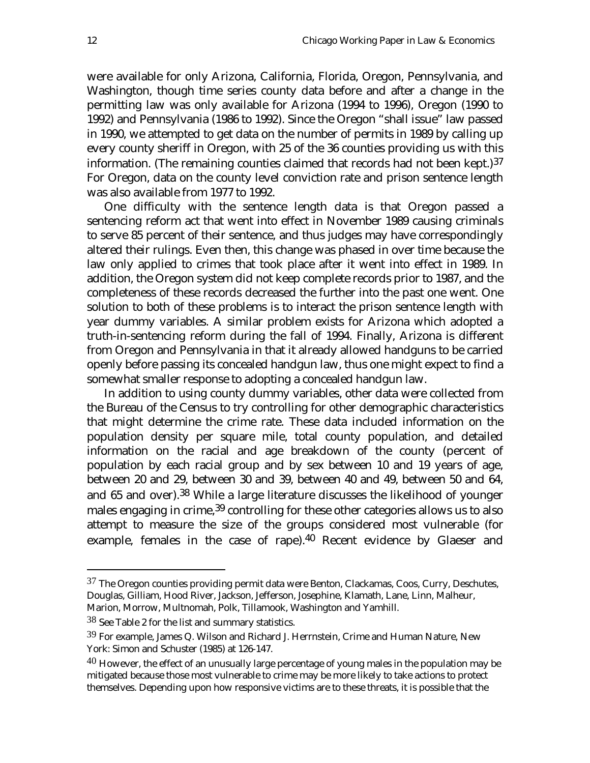were available for only Arizona, California, Florida, Oregon, Pennsylvania, and Washington, though time series county data before and after a change in the permitting law was only available for Arizona (1994 to 1996), Oregon (1990 to 1992) and Pennsylvania (1986 to 1992). Since the Oregon "shall issue" law passed in 1990, we attempted to get data on the number of permits in 1989 by calling up every county sheriff in Oregon, with 25 of the 36 counties providing us with this information. (The remaining counties claimed that records had not been kept.)<sup>37</sup> For Oregon, data on the county level conviction rate and prison sentence length was also available from 1977 to 1992.

One difficulty with the sentence length data is that Oregon passed a sentencing reform act that went into effect in November 1989 causing criminals to serve 85 percent of their sentence, and thus judges may have correspondingly altered their rulings. Even then, this change was phased in over time because the law only applied to crimes that took place after it went into effect in 1989. In addition, the Oregon system did not keep complete records prior to 1987, and the completeness of these records decreased the further into the past one went. One solution to both of these problems is to interact the prison sentence length with year dummy variables. A similar problem exists for Arizona which adopted a truth-in-sentencing reform during the fall of 1994. Finally, Arizona is different from Oregon and Pennsylvania in that it already allowed handguns to be carried openly before passing its concealed handgun law, thus one might expect to find a somewhat smaller response to adopting a concealed handgun law.

In addition to using county dummy variables, other data were collected from the Bureau of the Census to try controlling for other demographic characteristics that might determine the crime rate. These data included information on the population density per square mile, total county population, and detailed information on the racial and age breakdown of the county (percent of population by each racial group and by sex between 10 and 19 years of age, between 20 and 29, between 30 and 39, between 40 and 49, between 50 and 64, and 65 and over).38 While a large literature discusses the likelihood of younger males engaging in crime,<sup>39</sup> controlling for these other categories allows us to also attempt to measure the size of the groups considered most vulnerable (for example, females in the case of rape).<sup>40</sup> Recent evidence by Glaeser and

<sup>&</sup>lt;sup>37</sup> The Oregon counties providing permit data were Benton, Clackamas, Coos, Curry, Deschutes, Douglas, Gilliam, Hood River, Jackson, Jefferson, Josephine, Klamath, Lane, Linn, Malheur, Marion, Morrow, Multnomah, Polk, Tillamook, Washington and Yamhill.

<sup>38</sup> See Table 2 for the list and summary statistics.

<sup>39</sup> For example, James Q. Wilson and Richard J. Herrnstein, Crime and Human Nature, New York: Simon and Schuster (1985) at 126-147.

 $40$  However, the effect of an unusually large percentage of young males in the population may be mitigated because those most vulnerable to crime may be more likely to take actions to protect themselves. Depending upon how responsive victims are to these threats, it is possible that the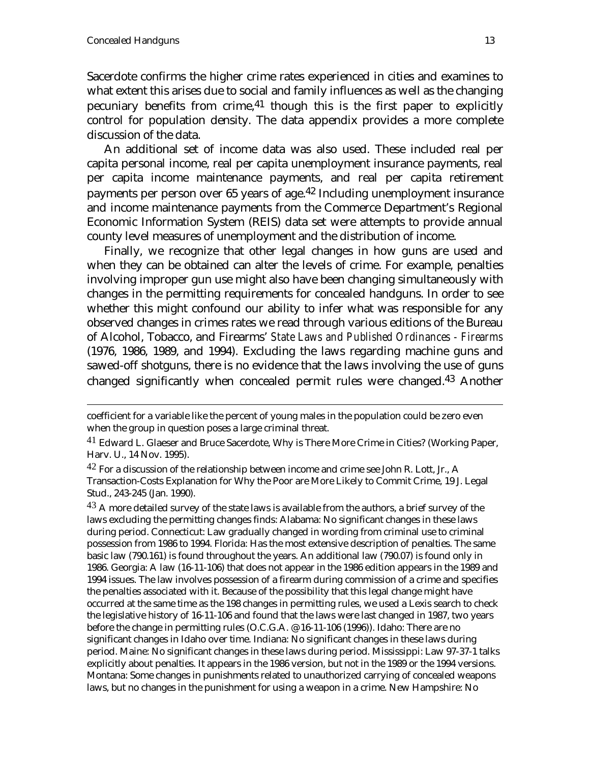Sacerdote confirms the higher crime rates experienced in cities and examines to what extent this arises due to social and family influences as well as the changing pecuniary benefits from crime,  $41$  though this is the first paper to explicitly control for population density. The data appendix provides a more complete discussion of the data.

An additional set of income data was also used. These included real per capita personal income, real per capita unemployment insurance payments, real per capita income maintenance payments, and real per capita retirement payments per person over 65 years of age.42 Including unemployment insurance and income maintenance payments from the Commerce Department's Regional Economic Information System (REIS) data set were attempts to provide annual county level measures of unemployment and the distribution of income.

Finally, we recognize that other legal changes in how guns are used and when they can be obtained can alter the levels of crime. For example, penalties involving improper gun use might also have been changing simultaneously with changes in the permitting requirements for concealed handguns. In order to see whether this might confound our ability to infer what was responsible for any observed changes in crimes rates we read through various editions of the Bureau of Alcohol, Tobacco, and Firearms' *State Laws and Published Ordinances - Firearms* (1976, 1986, 1989, and 1994). Excluding the laws regarding machine guns and sawed-off shotguns, there is no evidence that the laws involving the use of guns changed significantly when concealed permit rules were changed.43 Another

 $^{43}$  A more detailed survey of the state laws is available from the authors, a brief survey of the laws excluding the permitting changes finds: Alabama: No significant changes in these laws during period. Connecticut: Law gradually changed in wording from criminal use to criminal possession from 1986 to 1994. Florida: Has the most extensive description of penalties. The same basic law (790.161) is found throughout the years. An additional law (790.07) is found only in 1986. Georgia: A law (16-11-106) that does not appear in the 1986 edition appears in the 1989 and 1994 issues. The law involves possession of a firearm during commission of a crime and specifies the penalties associated with it. Because of the possibility that this legal change might have occurred at the same time as the 198 changes in permitting rules, we used a Lexis search to check the legislative history of 16-11-106 and found that the laws were last changed in 1987, two years before the change in permitting rules (O.C.G.A. @ 16-11-106 (1996)). Idaho: There are no significant changes in Idaho over time. Indiana: No significant changes in these laws during period. Maine: No significant changes in these laws during period. Mississippi: Law 97-37-1 talks explicitly about penalties. It appears in the 1986 version, but not in the 1989 or the 1994 versions. Montana: Some changes in punishments related to unauthorized carrying of concealed weapons laws, but no changes in the punishment for using a weapon in a crime. New Hampshire: No

coefficient for a variable like the percent of young males in the population could be zero even when the group in question poses a large criminal threat.

 $41$  Edward L. Glaeser and Bruce Sacerdote, Why is There More Crime in Cities? (Working Paper, Harv. U., 14 Nov. 1995).

 $42$  For a discussion of the relationship between income and crime see John R. Lott, Jr., A Transaction-Costs Explanation for Why the Poor are More Likely to Commit Crime, 19 J. Legal Stud., 243-245 (Jan. 1990).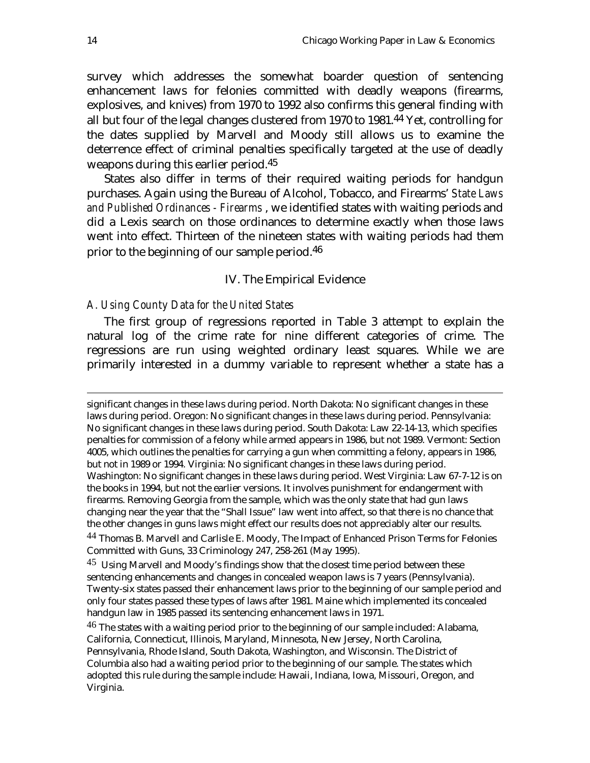survey which addresses the somewhat boarder question of sentencing enhancement laws for felonies committed with deadly weapons (firearms, explosives, and knives) from 1970 to 1992 also confirms this general finding with all but four of the legal changes clustered from 1970 to 1981.44 Yet, controlling for the dates supplied by Marvell and Moody still allows us to examine the deterrence effect of criminal penalties specifically targeted at the use of deadly weapons during this earlier period.45

States also differ in terms of their required waiting periods for handgun purchases. Again using the Bureau of Alcohol, Tobacco, and Firearms' *State Laws and Published Ordinances - Firearms* , we identified states with waiting periods and did a Lexis search on those ordinances to determine exactly when those laws went into effect. Thirteen of the nineteen states with waiting periods had them prior to the beginning of our sample period.46

#### IV. The Empirical Evidence

#### *A. Using County Data for the United States*

The first group of regressions reported in Table 3 attempt to explain the natural log of the crime rate for nine different categories of crime. The regressions are run using weighted ordinary least squares. While we are primarily interested in a dummy variable to represent whether a state has a

significant changes in these laws during period. North Dakota: No significant changes in these laws during period. Oregon: No significant changes in these laws during period. Pennsylvania: No significant changes in these laws during period. South Dakota: Law 22-14-13, which specifies penalties for commission of a felony while armed appears in 1986, but not 1989. Vermont: Section 4005, which outlines the penalties for carrying a gun when committing a felony, appears in 1986, but not in 1989 or 1994. Virginia: No significant changes in these laws during period. Washington: No significant changes in these laws during period. West Virginia: Law 67-7-12 is on the books in 1994, but not the earlier versions. It involves punishment for endangerment with firearms. Removing Georgia from the sample, which was the only state that had gun laws changing near the year that the "Shall Issue" law went into affect, so that there is no chance that the other changes in guns laws might effect our results does not appreciably alter our results.

<sup>44</sup> Thomas B. Marvell and Carlisle E. Moody, The Impact of Enhanced Prison Terms for Felonies Committed with Guns, 33 Criminology 247, 258-261 (May 1995).

 $45$  Using Marvell and Moody's findings show that the closest time period between these sentencing enhancements and changes in concealed weapon laws is 7 years (Pennsylvania). Twenty-six states passed their enhancement laws prior to the beginning of our sample period and only four states passed these types of laws after 1981. Maine which implemented its concealed handgun law in 1985 passed its sentencing enhancement laws in 1971.

<sup>&</sup>lt;sup>46</sup> The states with a waiting period prior to the beginning of our sample included: Alabama, California, Connecticut, Illinois, Maryland, Minnesota, New Jersey, North Carolina, Pennsylvania, Rhode Island, South Dakota, Washington, and Wisconsin. The District of Columbia also had a waiting period prior to the beginning of our sample. The states which adopted this rule during the sample include: Hawaii, Indiana, Iowa, Missouri, Oregon, and Virginia.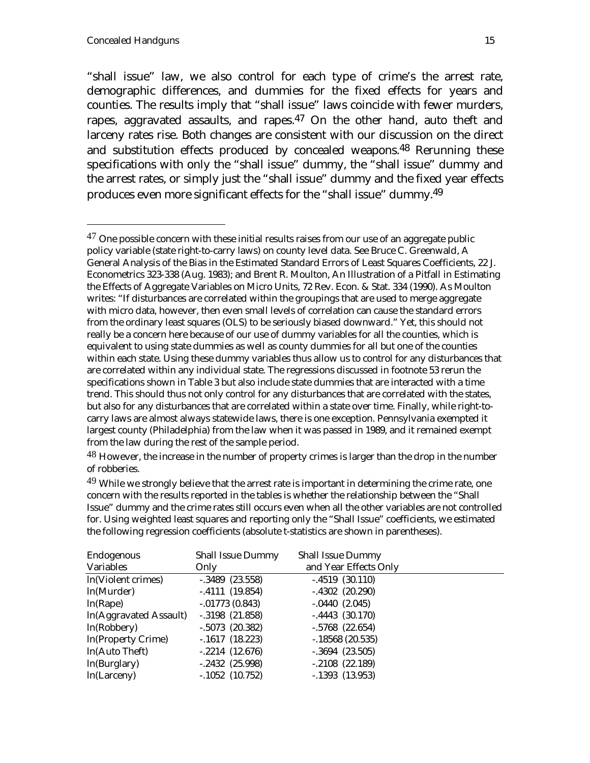"shall issue" law, we also control for each type of crime's the arrest rate, demographic differences, and dummies for the fixed effects for years and counties. The results imply that "shall issue" laws coincide with fewer murders, rapes, aggravated assaults, and rapes.<sup>47</sup> On the other hand, auto theft and larceny rates rise. Both changes are consistent with our discussion on the direct and substitution effects produced by concealed weapons.48 Rerunning these specifications with only the "shall issue" dummy, the "shall issue" dummy and the arrest rates, or simply just the "shall issue" dummy and the fixed year effects produces even more significant effects for the "shall issue" dummy.49

 $49$  While we strongly believe that the arrest rate is important in determining the crime rate, one concern with the results reported in the tables is whether the relationship between the "Shall Issue" dummy and the crime rates still occurs even when all the other variables are not controlled for. Using weighted least squares and reporting only the "Shall Issue" coefficients, we estimated the following regression coefficients (absolute t-statistics are shown in parentheses).

| Endogenous             | <b>Shall Issue Dummy</b> | <b>Shall Issue Dummy</b> |  |
|------------------------|--------------------------|--------------------------|--|
| <b>Variables</b>       | Only                     | and Year Effects Only    |  |
| ln(Violent crimes)     | $-.3489$ $(23.558)$      | $-.4519(30.110)$         |  |
| ln(Murder)             | $-.4111(19.854)$         | $-.4302$ $(20.290)$      |  |
| ln(Rape)               | $-.01773(0.843)$         | $-.0440(2.045)$          |  |
| In(Aggravated Assault) | $-.3198$ $(21.858)$      | $-.4443(30.170)$         |  |
| ln(Robbery)            | $-.5073(20.382)$         | $-.5768$ $(22.654)$      |  |
| In(Property Crime)     | $-.1617(18.223)$         | $-.18568(20.535)$        |  |
| ln(Auto Theft)         | $-.2214(12.676)$         | $-.3694(23.505)$         |  |
| ln(Burglary)           | $-.2432(25.998)$         | $-.2108$ $(22.189)$      |  |
| ln(Larceny)            | $-.1052(10.752)$         | $-.1393(13.953)$         |  |

 $47$  One possible concern with these initial results raises from our use of an aggregate public policy variable (state right-to-carry laws) on county level data. See Bruce C. Greenwald, A General Analysis of the Bias in the Estimated Standard Errors of Least Squares Coefficients, 22 J. Econometrics 323-338 (Aug. 1983); and Brent R. Moulton, An Illustration of a Pitfall in Estimating the Effects of Aggregate Variables on Micro Units, 72 Rev. Econ. & Stat. 334 (1990). As Moulton writes: "If disturbances are correlated within the groupings that are used to merge aggregate with micro data, however, then even small levels of correlation can cause the standard errors from the ordinary least squares (OLS) to be seriously biased downward." Yet, this should not really be a concern here because of our use of dummy variables for all the counties, which is equivalent to using state dummies as well as county dummies for all but one of the counties within each state. Using these dummy variables thus allow us to control for any disturbances that are correlated within any individual state. The regressions discussed in footnote 53 rerun the specifications shown in Table 3 but also include state dummies that are interacted with a time trend. This should thus not only control for any disturbances that are correlated with the states, but also for any disturbances that are correlated within a state over time. Finally, while right-tocarry laws are almost always statewide laws, there is one exception. Pennsylvania exempted it largest county (Philadelphia) from the law when it was passed in 1989, and it remained exempt from the law during the rest of the sample period.

<sup>&</sup>lt;sup>48</sup> However, the increase in the number of property crimes is larger than the drop in the number of robberies.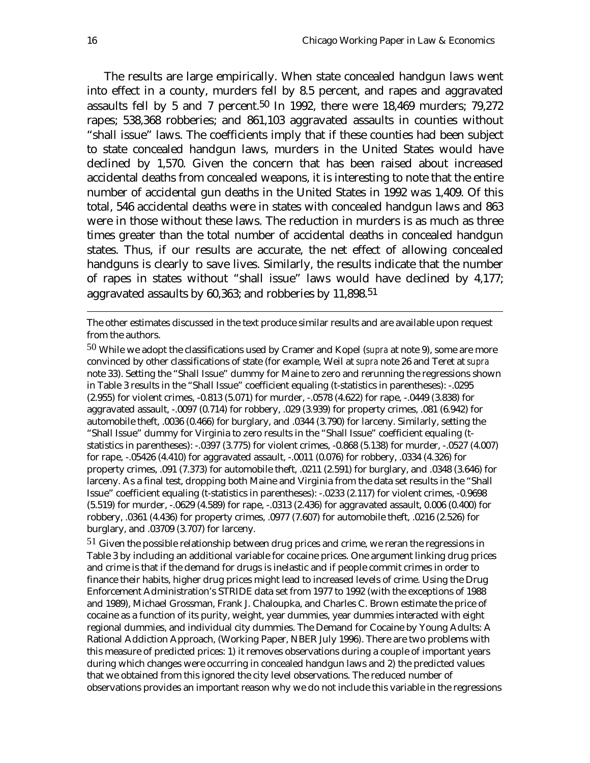The results are large empirically. When state concealed handgun laws went into effect in a county, murders fell by 8.5 percent, and rapes and aggravated assaults fell by 5 and 7 percent.<sup>50</sup> In 1992, there were  $18,469$  murders;  $79,272$ rapes; 538,368 robberies; and 861,103 aggravated assaults in counties without "shall issue" laws. The coefficients imply that if these counties had been subject to state concealed handgun laws, murders in the United States would have declined by 1,570. Given the concern that has been raised about increased accidental deaths from concealed weapons, it is interesting to note that the entire number of accidental gun deaths in the United States in 1992 was 1,409. Of this total, 546 accidental deaths were in states with concealed handgun laws and 863 were in those without these laws. The reduction in murders is as much as three times greater than the total number of accidental deaths in concealed handgun states. Thus, if our results are accurate, the net effect of allowing concealed handguns is clearly to save lives. Similarly, the results indicate that the number of rapes in states without "shall issue" laws would have declined by 4,177; aggravated assaults by 60,363; and robberies by 11,898.51

 $51$  Given the possible relationship between drug prices and crime, we reran the regressions in Table 3 by including an additional variable for cocaine prices. One argument linking drug prices and crime is that if the demand for drugs is inelastic and if people commit crimes in order to finance their habits, higher drug prices might lead to increased levels of crime. Using the Drug Enforcement Administration's STRIDE data set from 1977 to 1992 (with the exceptions of 1988 and 1989), Michael Grossman, Frank J. Chaloupka, and Charles C. Brown estimate the price of cocaine as a function of its purity, weight, year dummies, year dummies interacted with eight regional dummies, and individual city dummies. The Demand for Cocaine by Young Adults: A Rational Addiction Approach, (Working Paper, NBER July 1996). There are two problems with this measure of predicted prices: 1) it removes observations during a couple of important years during which changes were occurring in concealed handgun laws and 2) the predicted values that we obtained from this ignored the city level observations. The reduced number of observations provides an important reason why we do not include this variable in the regressions

The other estimates discussed in the text produce similar results and are available upon request from the authors.

<sup>50</sup> While we adopt the classifications used by Cramer and Kopel (*supra* at note 9), some are more convinced by other classifications of state (for example, Weil at *supra* note 26 and Teret at *supra* note 33). Setting the "Shall Issue" dummy for Maine to zero and rerunning the regressions shown in Table 3 results in the "Shall Issue" coefficient equaling (t-statistics in parentheses): -.0295 (2.955) for violent crimes, -0.813 (5.071) for murder, -.0578 (4.622) for rape, -.0449 (3.838) for aggravated assault, -.0097 (0.714) for robbery, .029 (3.939) for property crimes, .081 (6.942) for automobile theft, .0036 (0.466) for burglary, and .0344 (3.790) for larceny. Similarly, setting the "Shall Issue" dummy for Virginia to zero results in the "Shall Issue" coefficient equaling (tstatistics in parentheses): -.0397 (3.775) for violent crimes, -0.868 (5.138) for murder, -.0527 (4.007) for rape, -.05426 (4.410) for aggravated assault, -.0011 (0.076) for robbery, .0334 (4.326) for property crimes, .091 (7.373) for automobile theft, .0211 (2.591) for burglary, and .0348 (3.646) for larceny. As a final test, dropping both Maine and Virginia from the data set results in the "Shall Issue" coefficient equaling (t-statistics in parentheses): -.0233 (2.117) for violent crimes, -0.9698 (5.519) for murder, -.0629 (4.589) for rape, -.0313 (2.436) for aggravated assault, 0.006 (0.400) for robbery, .0361 (4.436) for property crimes, .0977 (7.607) for automobile theft, .0216 (2.526) for burglary, and .03709 (3.707) for larceny.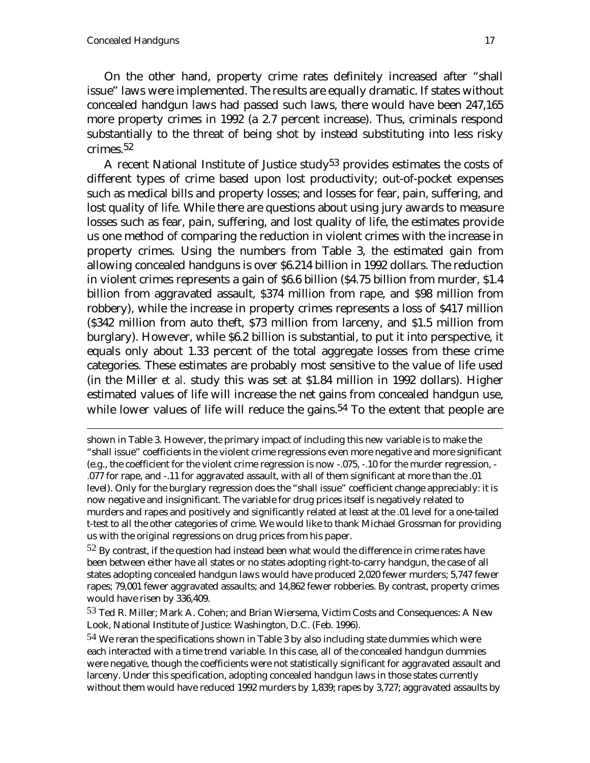On the other hand, property crime rates definitely increased after "shall issue" laws were implemented. The results are equally dramatic. If states without concealed handgun laws had passed such laws, there would have been 247,165 more property crimes in 1992 (a 2.7 percent increase). Thus, criminals respond substantially to the threat of being shot by instead substituting into less risky crimes.52

A recent National Institute of Justice study<sup>53</sup> provides estimates the costs of different types of crime based upon lost productivity; out-of-pocket expenses such as medical bills and property losses; and losses for fear, pain, suffering, and lost quality of life. While there are questions about using jury awards to measure losses such as fear, pain, suffering, and lost quality of life, the estimates provide us one method of comparing the reduction in violent crimes with the increase in property crimes. Using the numbers from Table 3, the estimated gain from allowing concealed handguns is over \$6.214 billion in 1992 dollars. The reduction in violent crimes represents a gain of \$6.6 billion (\$4.75 billion from murder, \$1.4 billion from aggravated assault, \$374 million from rape, and \$98 million from robbery), while the increase in property crimes represents a loss of \$417 million (\$342 million from auto theft, \$73 million from larceny, and \$1.5 million from burglary). However, while \$6.2 billion is substantial, to put it into perspective, it equals only about 1.33 percent of the total aggregate losses from these crime categories. These estimates are probably most sensitive to the value of life used (in the Miller *et al.* study this was set at \$1.84 million in 1992 dollars). Higher estimated values of life will increase the net gains from concealed handgun use, while lower values of life will reduce the gains.<sup>54</sup> To the extent that people are

shown in Table 3. However, the primary impact of including this new variable is to make the "shall issue" coefficients in the violent crime regressions even more negative and more significant (e.g., the coefficient for the violent crime regression is now -.075, -.10 for the murder regression, - .077 for rape, and -.11 for aggravated assault, with all of them significant at more than the .01 level). Only for the burglary regression does the "shall issue" coefficient change appreciably: it is now negative and insignificant. The variable for drug prices itself is negatively related to murders and rapes and positively and significantly related at least at the .01 level for a one-tailed t-test to all the other categories of crime. We would like to thank Michael Grossman for providing us with the original regressions on drug prices from his paper.

 $52$  By contrast, if the question had instead been what would the difference in crime rates have been between either have all states or no states adopting right-to-carry handgun, the case of all states adopting concealed handgun laws would have produced 2,020 fewer murders; 5,747 fewer rapes; 79,001 fewer aggravated assaults; and 14,862 fewer robberies. By contrast, property crimes would have risen by 336,409.

<sup>&</sup>lt;sup>53</sup> Ted R. Miller; Mark A. Cohen; and Brian Wiersema, Victim Costs and Consequences: A New Look, National Institute of Justice: Washington, D.C. (Feb. 1996).

 $54$  We reran the specifications shown in Table 3 by also including state dummies which were each interacted with a time trend variable. In this case, all of the concealed handgun dummies were negative, though the coefficients were not statistically significant for aggravated assault and larceny. Under this specification, adopting concealed handgun laws in those states currently without them would have reduced 1992 murders by 1,839; rapes by 3,727; aggravated assaults by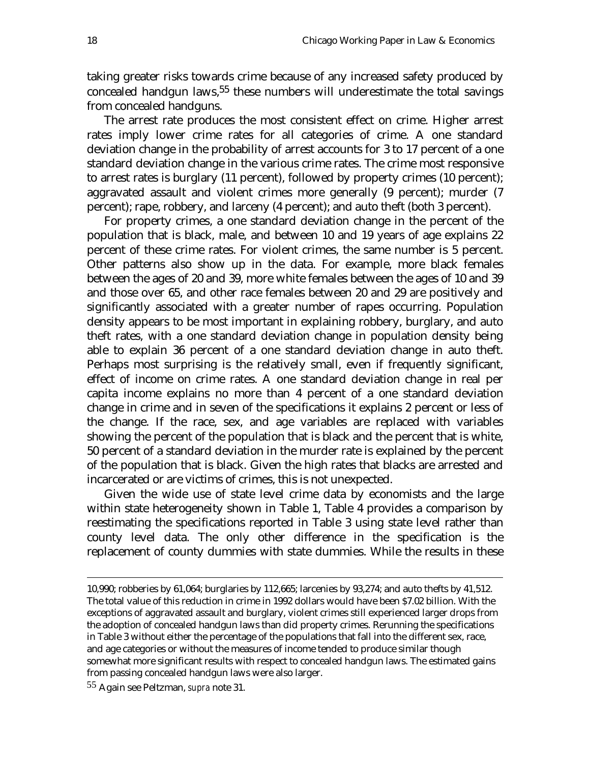taking greater risks towards crime because of any increased safety produced by concealed handgun laws,55 these numbers will underestimate the total savings from concealed handguns.

The arrest rate produces the most consistent effect on crime. Higher arrest rates imply lower crime rates for all categories of crime. A one standard deviation change in the probability of arrest accounts for 3 to 17 percent of a one standard deviation change in the various crime rates. The crime most responsive to arrest rates is burglary (11 percent), followed by property crimes (10 percent); aggravated assault and violent crimes more generally (9 percent); murder (7 percent); rape, robbery, and larceny (4 percent); and auto theft (both 3 percent).

For property crimes, a one standard deviation change in the percent of the population that is black, male, and between 10 and 19 years of age explains 22 percent of these crime rates. For violent crimes, the same number is 5 percent. Other patterns also show up in the data. For example, more black females between the ages of 20 and 39, more white females between the ages of 10 and 39 and those over 65, and other race females between 20 and 29 are positively and significantly associated with a greater number of rapes occurring. Population density appears to be most important in explaining robbery, burglary, and auto theft rates, with a one standard deviation change in population density being able to explain 36 percent of a one standard deviation change in auto theft. Perhaps most surprising is the relatively small, even if frequently significant, effect of income on crime rates. A one standard deviation change in real per capita income explains no more than 4 percent of a one standard deviation change in crime and in seven of the specifications it explains 2 percent or less of the change. If the race, sex, and age variables are replaced with variables showing the percent of the population that is black and the percent that is white, 50 percent of a standard deviation in the murder rate is explained by the percent of the population that is black. Given the high rates that blacks are arrested and incarcerated or are victims of crimes, this is not unexpected.

Given the wide use of state level crime data by economists and the large within state heterogeneity shown in Table 1, Table 4 provides a comparison by reestimating the specifications reported in Table 3 using state level rather than county level data. The only other difference in the specification is the replacement of county dummies with state dummies. While the results in these

<sup>10,990;</sup> robberies by 61,064; burglaries by 112,665; larcenies by 93,274; and auto thefts by 41,512. The total value of this reduction in crime in 1992 dollars would have been \$7.02 billion. With the exceptions of aggravated assault and burglary, violent crimes still experienced larger drops from the adoption of concealed handgun laws than did property crimes. Rerunning the specifications in Table 3 without either the percentage of the populations that fall into the different sex, race, and age categories or without the measures of income tended to produce similar though somewhat more significant results with respect to concealed handgun laws. The estimated gains from passing concealed handgun laws were also larger.

<sup>55</sup> Again see Peltzman, *supra* note 31.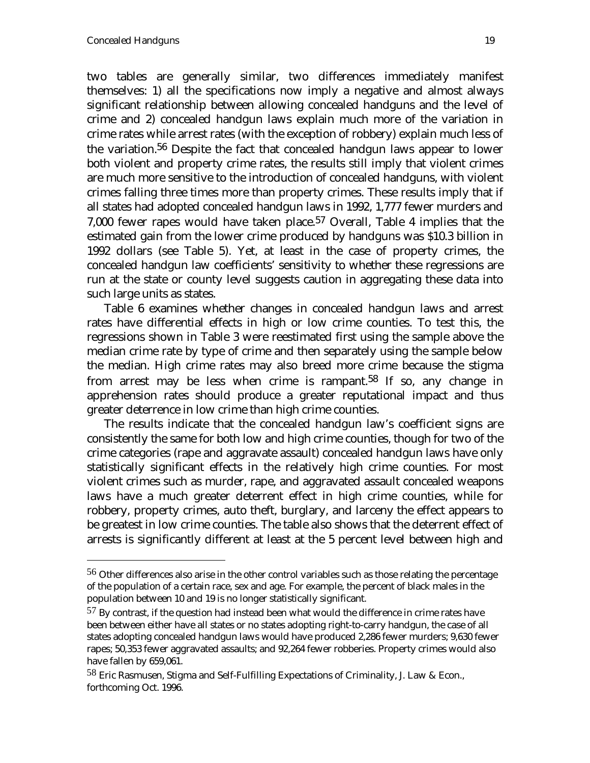two tables are generally similar, two differences immediately manifest themselves: 1) all the specifications now imply a negative and almost always significant relationship between allowing concealed handguns and the level of crime and 2) concealed handgun laws explain much more of the variation in crime rates while arrest rates (with the exception of robbery) explain much less of the variation.<sup>56</sup> Despite the fact that concealed handgun laws appear to lower both violent and property crime rates, the results still imply that violent crimes are much more sensitive to the introduction of concealed handguns, with violent crimes falling three times more than property crimes. These results imply that if all states had adopted concealed handgun laws in 1992, 1,777 fewer murders and 7,000 fewer rapes would have taken place.57 Overall, Table 4 implies that the estimated gain from the lower crime produced by handguns was \$10.3 billion in 1992 dollars (see Table 5). Yet, at least in the case of property crimes, the concealed handgun law coefficients' sensitivity to whether these regressions are run at the state or county level suggests caution in aggregating these data into such large units as states.

Table 6 examines whether changes in concealed handgun laws and arrest rates have differential effects in high or low crime counties. To test this, the regressions shown in Table 3 were reestimated first using the sample above the median crime rate by type of crime and then separately using the sample below the median. High crime rates may also breed more crime because the stigma from arrest may be less when crime is rampant.<sup>58</sup> If so, any change in apprehension rates should produce a greater reputational impact and thus greater deterrence in low crime than high crime counties.

The results indicate that the concealed handgun law's coefficient signs are consistently the same for both low and high crime counties, though for two of the crime categories (rape and aggravate assault) concealed handgun laws have only statistically significant effects in the relatively high crime counties. For most violent crimes such as murder, rape, and aggravated assault concealed weapons laws have a much greater deterrent effect in high crime counties, while for robbery, property crimes, auto theft, burglary, and larceny the effect appears to be greatest in low crime counties. The table also shows that the deterrent effect of arrests is significantly different at least at the 5 percent level between high and

 $56$  Other differences also arise in the other control variables such as those relating the percentage of the population of a certain race, sex and age. For example, the percent of black males in the population between 10 and 19 is no longer statistically significant.

 $57$  By contrast, if the question had instead been what would the difference in crime rates have been between either have all states or no states adopting right-to-carry handgun, the case of all states adopting concealed handgun laws would have produced 2,286 fewer murders; 9,630 fewer rapes; 50,353 fewer aggravated assaults; and 92,264 fewer robberies. Property crimes would also have fallen by 659,061.

<sup>58</sup> Eric Rasmusen, Stigma and Self-Fulfilling Expectations of Criminality, J. Law & Econ., forthcoming Oct. 1996.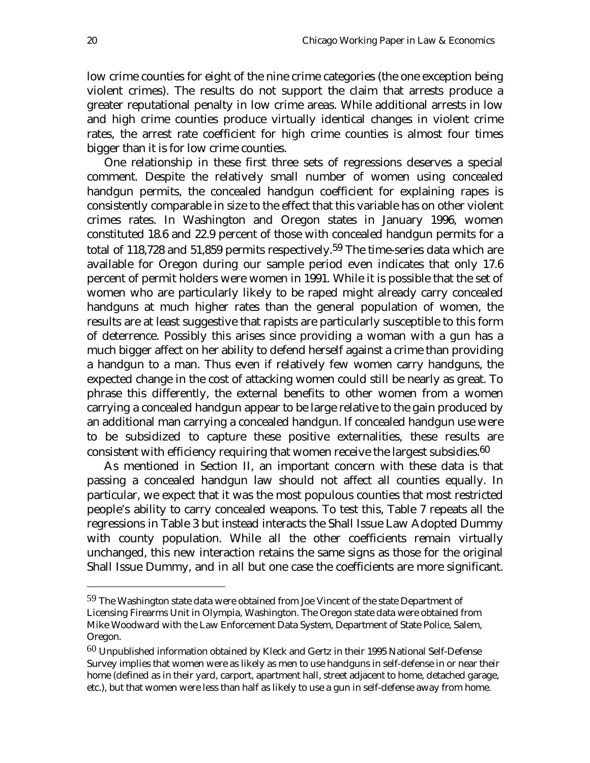low crime counties for eight of the nine crime categories (the one exception being violent crimes). The results do not support the claim that arrests produce a greater reputational penalty in low crime areas. While additional arrests in low and high crime counties produce virtually identical changes in violent crime rates, the arrest rate coefficient for high crime counties is almost four times bigger than it is for low crime counties.

One relationship in these first three sets of regressions deserves a special comment. Despite the relatively small number of women using concealed handgun permits, the concealed handgun coefficient for explaining rapes is consistently comparable in size to the effect that this variable has on other violent crimes rates. In Washington and Oregon states in January 1996, women constituted 18.6 and 22.9 percent of those with concealed handgun permits for a total of 118,728 and 51,859 permits respectively.<sup>59</sup> The time-series data which are available for Oregon during our sample period even indicates that only 17.6 percent of permit holders were women in 1991. While it is possible that the set of women who are particularly likely to be raped might already carry concealed handguns at much higher rates than the general population of women, the results are at least suggestive that rapists are particularly susceptible to this form of deterrence. Possibly this arises since providing a woman with a gun has a much bigger affect on her ability to defend herself against a crime than providing a handgun to a man. Thus even if relatively few women carry handguns, the expected change in the cost of attacking women could still be nearly as great. To phrase this differently, the external benefits to other women from a women carrying a concealed handgun appear to be large relative to the gain produced by an additional man carrying a concealed handgun. If concealed handgun use were to be subsidized to capture these positive externalities, these results are consistent with efficiency requiring that women receive the largest subsidies. $60$ 

As mentioned in Section II, an important concern with these data is that passing a concealed handgun law should not affect all counties equally. In particular, we expect that it was the most populous counties that most restricted people's ability to carry concealed weapons. To test this, Table 7 repeats all the regressions in Table 3 but instead interacts the Shall Issue Law Adopted Dummy with county population. While all the other coefficients remain virtually unchanged, this new interaction retains the same signs as those for the original Shall Issue Dummy, and in all but one case the coefficients are more significant.

<sup>&</sup>lt;sup>59</sup> The Washington state data were obtained from Joe Vincent of the state Department of Licensing Firearms Unit in Olympia, Washington. The Oregon state data were obtained from Mike Woodward with the Law Enforcement Data System, Department of State Police, Salem, Oregon.

<sup>60</sup> Unpublished information obtained by Kleck and Gertz in their 1995 National Self-Defense Survey implies that women were as likely as men to use handguns in self-defense in or near their home (defined as in their yard, carport, apartment hall, street adjacent to home, detached garage, etc.), but that women were less than half as likely to use a gun in self-defense away from home.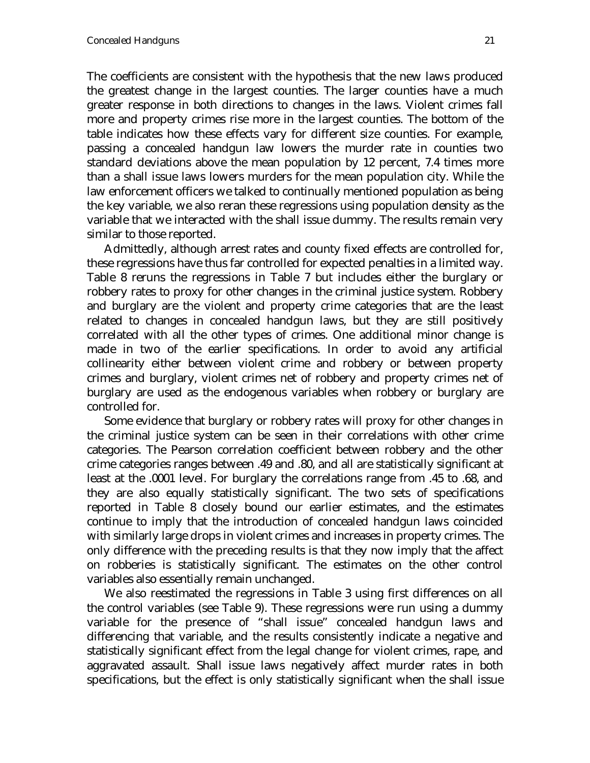The coefficients are consistent with the hypothesis that the new laws produced the greatest change in the largest counties. The larger counties have a much greater response in both directions to changes in the laws. Violent crimes fall more and property crimes rise more in the largest counties. The bottom of the table indicates how these effects vary for different size counties. For example, passing a concealed handgun law lowers the murder rate in counties two standard deviations above the mean population by 12 percent, 7.4 times more than a shall issue laws lowers murders for the mean population city. While the law enforcement officers we talked to continually mentioned population as being the key variable, we also reran these regressions using population density as the variable that we interacted with the shall issue dummy. The results remain very similar to those reported.

Admittedly, although arrest rates and county fixed effects are controlled for, these regressions have thus far controlled for expected penalties in a limited way. Table 8 reruns the regressions in Table 7 but includes either the burglary or robbery rates to proxy for other changes in the criminal justice system. Robbery and burglary are the violent and property crime categories that are the least related to changes in concealed handgun laws, but they are still positively correlated with all the other types of crimes. One additional minor change is made in two of the earlier specifications. In order to avoid any artificial collinearity either between violent crime and robbery or between property crimes and burglary, violent crimes net of robbery and property crimes net of burglary are used as the endogenous variables when robbery or burglary are controlled for.

Some evidence that burglary or robbery rates will proxy for other changes in the criminal justice system can be seen in their correlations with other crime categories. The Pearson correlation coefficient between robbery and the other crime categories ranges between .49 and .80, and all are statistically significant at least at the .0001 level. For burglary the correlations range from .45 to .68, and they are also equally statistically significant. The two sets of specifications reported in Table 8 closely bound our earlier estimates, and the estimates continue to imply that the introduction of concealed handgun laws coincided with similarly large drops in violent crimes and increases in property crimes. The only difference with the preceding results is that they now imply that the affect on robberies is statistically significant. The estimates on the other control variables also essentially remain unchanged.

We also reestimated the regressions in Table 3 using first differences on all the control variables (see Table 9). These regressions were run using a dummy variable for the presence of "shall issue" concealed handgun laws and differencing that variable, and the results consistently indicate a negative and statistically significant effect from the legal change for violent crimes, rape, and aggravated assault. Shall issue laws negatively affect murder rates in both specifications, but the effect is only statistically significant when the shall issue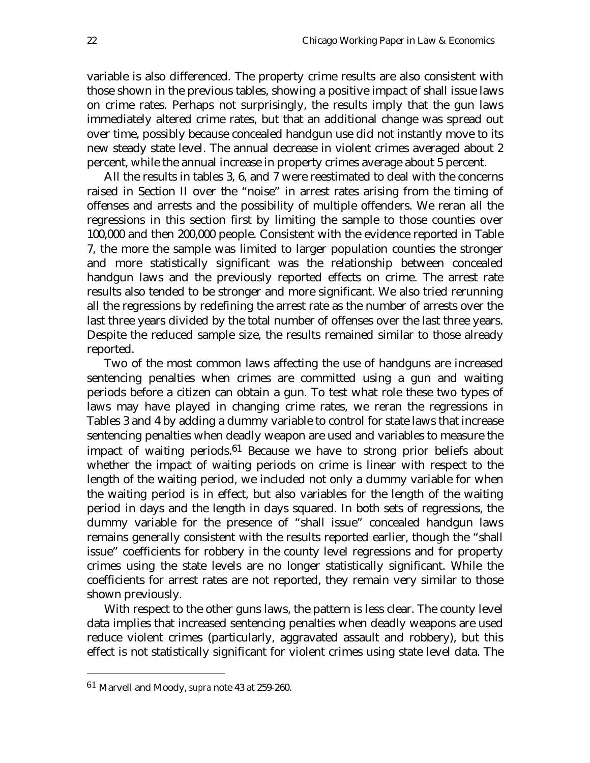variable is also differenced. The property crime results are also consistent with those shown in the previous tables, showing a positive impact of shall issue laws on crime rates. Perhaps not surprisingly, the results imply that the gun laws immediately altered crime rates, but that an additional change was spread out over time, possibly because concealed handgun use did not instantly move to its new steady state level. The annual decrease in violent crimes averaged about 2 percent, while the annual increase in property crimes average about 5 percent.

All the results in tables 3, 6, and 7 were reestimated to deal with the concerns raised in Section II over the "noise" in arrest rates arising from the timing of offenses and arrests and the possibility of multiple offenders. We reran all the regressions in this section first by limiting the sample to those counties over 100,000 and then 200,000 people. Consistent with the evidence reported in Table 7, the more the sample was limited to larger population counties the stronger and more statistically significant was the relationship between concealed handgun laws and the previously reported effects on crime. The arrest rate results also tended to be stronger and more significant. We also tried rerunning all the regressions by redefining the arrest rate as the number of arrests over the last three years divided by the total number of offenses over the last three years. Despite the reduced sample size, the results remained similar to those already reported.

Two of the most common laws affecting the use of handguns are increased sentencing penalties when crimes are committed using a gun and waiting periods before a citizen can obtain a gun. To test what role these two types of laws may have played in changing crime rates, we reran the regressions in Tables 3 and 4 by adding a dummy variable to control for state laws that increase sentencing penalties when deadly weapon are used and variables to measure the impact of waiting periods. $61$  Because we have to strong prior beliefs about whether the impact of waiting periods on crime is linear with respect to the length of the waiting period, we included not only a dummy variable for when the waiting period is in effect, but also variables for the length of the waiting period in days and the length in days squared. In both sets of regressions, the dummy variable for the presence of "shall issue" concealed handgun laws remains generally consistent with the results reported earlier, though the "shall issue" coefficients for robbery in the county level regressions and for property crimes using the state levels are no longer statistically significant. While the coefficients for arrest rates are not reported, they remain very similar to those shown previously.

With respect to the other guns laws, the pattern is less clear. The county level data implies that increased sentencing penalties when deadly weapons are used reduce violent crimes (particularly, aggravated assault and robbery), but this effect is not statistically significant for violent crimes using state level data. The

<sup>61</sup> Marvell and Moody, *supra* note 43 at 259-260.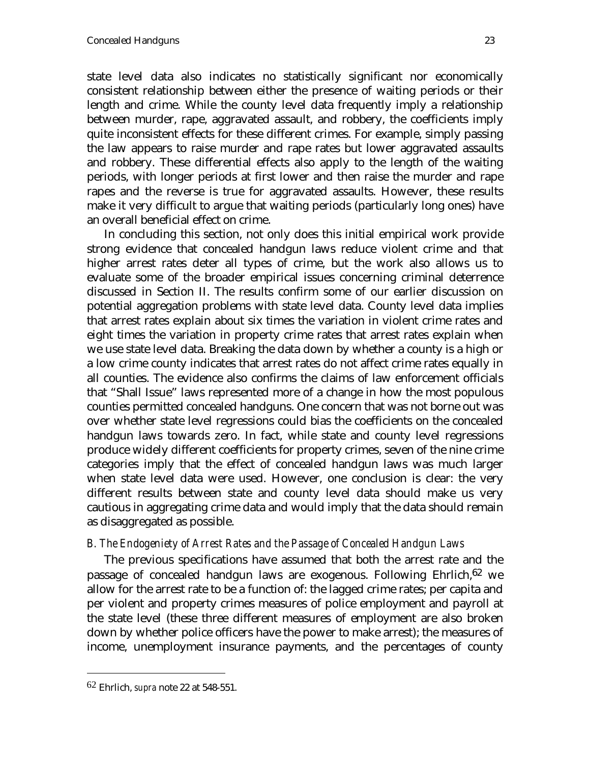state level data also indicates no statistically significant nor economically consistent relationship between either the presence of waiting periods or their length and crime. While the county level data frequently imply a relationship between murder, rape, aggravated assault, and robbery, the coefficients imply quite inconsistent effects for these different crimes. For example, simply passing the law appears to raise murder and rape rates but lower aggravated assaults and robbery. These differential effects also apply to the length of the waiting periods, with longer periods at first lower and then raise the murder and rape rapes and the reverse is true for aggravated assaults. However, these results make it very difficult to argue that waiting periods (particularly long ones) have an overall beneficial effect on crime.

In concluding this section, not only does this initial empirical work provide strong evidence that concealed handgun laws reduce violent crime and that higher arrest rates deter all types of crime, but the work also allows us to evaluate some of the broader empirical issues concerning criminal deterrence discussed in Section II. The results confirm some of our earlier discussion on potential aggregation problems with state level data. County level data implies that arrest rates explain about six times the variation in violent crime rates and eight times the variation in property crime rates that arrest rates explain when we use state level data. Breaking the data down by whether a county is a high or a low crime county indicates that arrest rates do not affect crime rates equally in all counties. The evidence also confirms the claims of law enforcement officials that "Shall Issue" laws represented more of a change in how the most populous counties permitted concealed handguns. One concern that was not borne out was over whether state level regressions could bias the coefficients on the concealed handgun laws towards zero. In fact, while state and county level regressions produce widely different coefficients for property crimes, seven of the nine crime categories imply that the effect of concealed handgun laws was much larger when state level data were used. However, one conclusion is clear: the very different results between state and county level data should make us very cautious in aggregating crime data and would imply that the data should remain as disaggregated as possible.

### *B. The Endogeniety of Arrest Rates and the Passage of Concealed Handgun Laws*

The previous specifications have assumed that both the arrest rate and the passage of concealed handgun laws are exogenous. Following Ehrlich, 62 we allow for the arrest rate to be a function of: the lagged crime rates; per capita and per violent and property crimes measures of police employment and payroll at the state level (these three different measures of employment are also broken down by whether police officers have the power to make arrest); the measures of income, unemployment insurance payments, and the percentages of county

<sup>62</sup> Ehrlich, *supra* note 22 at 548-551.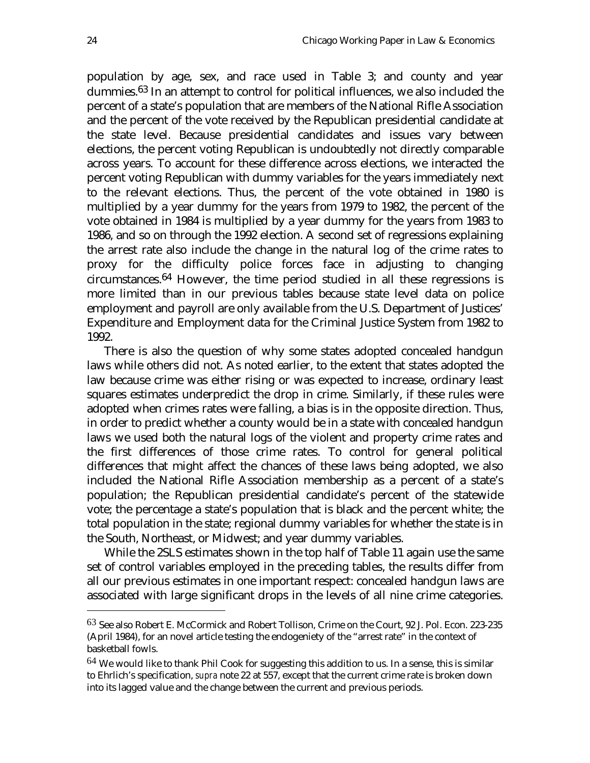population by age, sex, and race used in Table 3; and county and year dummies.63 In an attempt to control for political influences, we also included the percent of a state's population that are members of the National Rifle Association and the percent of the vote received by the Republican presidential candidate at the state level. Because presidential candidates and issues vary between elections, the percent voting Republican is undoubtedly not directly comparable across years. To account for these difference across elections, we interacted the percent voting Republican with dummy variables for the years immediately next to the relevant elections. Thus, the percent of the vote obtained in 1980 is multiplied by a year dummy for the years from 1979 to 1982, the percent of the vote obtained in 1984 is multiplied by a year dummy for the years from 1983 to 1986, and so on through the 1992 election. A second set of regressions explaining the arrest rate also include the change in the natural log of the crime rates to proxy for the difficulty police forces face in adjusting to changing circumstances.64 However, the time period studied in all these regressions is more limited than in our previous tables because state level data on police employment and payroll are only available from the U.S. Department of Justices' Expenditure and Employment data for the Criminal Justice System from 1982 to 1992.

There is also the question of why some states adopted concealed handgun laws while others did not. As noted earlier, to the extent that states adopted the law because crime was either rising or was expected to increase, ordinary least squares estimates underpredict the drop in crime. Similarly, if these rules were adopted when crimes rates were falling, a bias is in the opposite direction. Thus, in order to predict whether a county would be in a state with concealed handgun laws we used both the natural logs of the violent and property crime rates and the first differences of those crime rates. To control for general political differences that might affect the chances of these laws being adopted, we also included the National Rifle Association membership as a percent of a state's population; the Republican presidential candidate's percent of the statewide vote; the percentage a state's population that is black and the percent white; the total population in the state; regional dummy variables for whether the state is in the South, Northeast, or Midwest; and year dummy variables.

While the 2SLS estimates shown in the top half of Table 11 again use the same set of control variables employed in the preceding tables, the results differ from all our previous estimates in one important respect: concealed handgun laws are associated with large significant drops in the levels of all nine crime categories.

<sup>63</sup> See also Robert E. McCormick and Robert Tollison, Crime on the Court, 92 J. Pol. Econ. 223-235 (April 1984), for an novel article testing the endogeniety of the "arrest rate" in the context of basketball fowls.

<sup>64</sup> We would like to thank Phil Cook for suggesting this addition to us. In a sense, this is similar to Ehrlich's specification, *supra* note 22 at 557, except that the current crime rate is broken down into its lagged value and the change between the current and previous periods.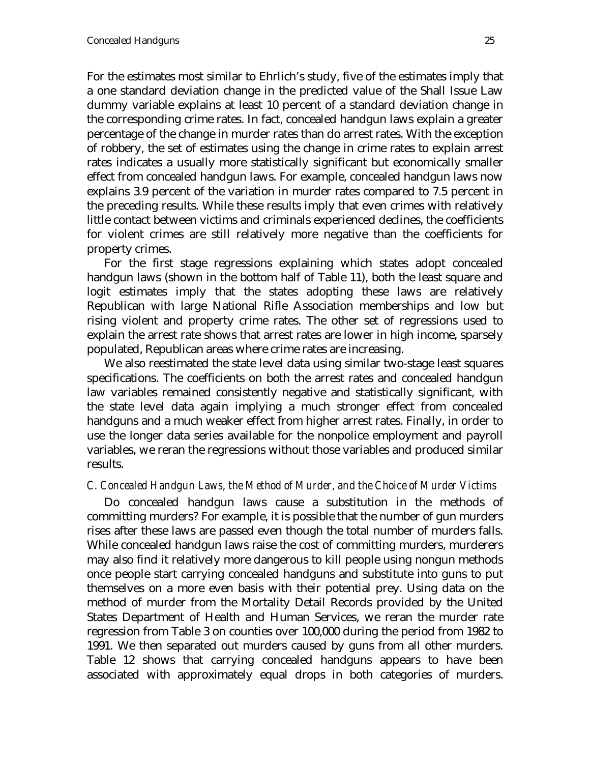For the estimates most similar to Ehrlich's study, five of the estimates imply that a one standard deviation change in the predicted value of the Shall Issue Law dummy variable explains at least 10 percent of a standard deviation change in the corresponding crime rates. In fact, concealed handgun laws explain a greater percentage of the change in murder rates than do arrest rates. With the exception of robbery, the set of estimates using the change in crime rates to explain arrest rates indicates a usually more statistically significant but economically smaller effect from concealed handgun laws. For example, concealed handgun laws now explains 3.9 percent of the variation in murder rates compared to 7.5 percent in the preceding results. While these results imply that even crimes with relatively little contact between victims and criminals experienced declines, the coefficients for violent crimes are still relatively more negative than the coefficients for property crimes.

For the first stage regressions explaining which states adopt concealed handgun laws (shown in the bottom half of Table 11), both the least square and logit estimates imply that the states adopting these laws are relatively Republican with large National Rifle Association memberships and low but rising violent and property crime rates. The other set of regressions used to explain the arrest rate shows that arrest rates are lower in high income, sparsely populated, Republican areas where crime rates are increasing.

We also reestimated the state level data using similar two-stage least squares specifications. The coefficients on both the arrest rates and concealed handgun law variables remained consistently negative and statistically significant, with the state level data again implying a much stronger effect from concealed handguns and a much weaker effect from higher arrest rates. Finally, in order to use the longer data series available for the nonpolice employment and payroll variables, we reran the regressions without those variables and produced similar results.

#### *C. Concealed Handgun Laws, the Method of Murder, and the Choice of Murder Victims*

Do concealed handgun laws cause a substitution in the methods of committing murders? For example, it is possible that the number of gun murders rises after these laws are passed even though the total number of murders falls. While concealed handgun laws raise the cost of committing murders, murderers may also find it relatively more dangerous to kill people using nongun methods once people start carrying concealed handguns and substitute into guns to put themselves on a more even basis with their potential prey. Using data on the method of murder from the Mortality Detail Records provided by the United States Department of Health and Human Services, we reran the murder rate regression from Table 3 on counties over 100,000 during the period from 1982 to 1991. We then separated out murders caused by guns from all other murders. Table 12 shows that carrying concealed handguns appears to have been associated with approximately equal drops in both categories of murders.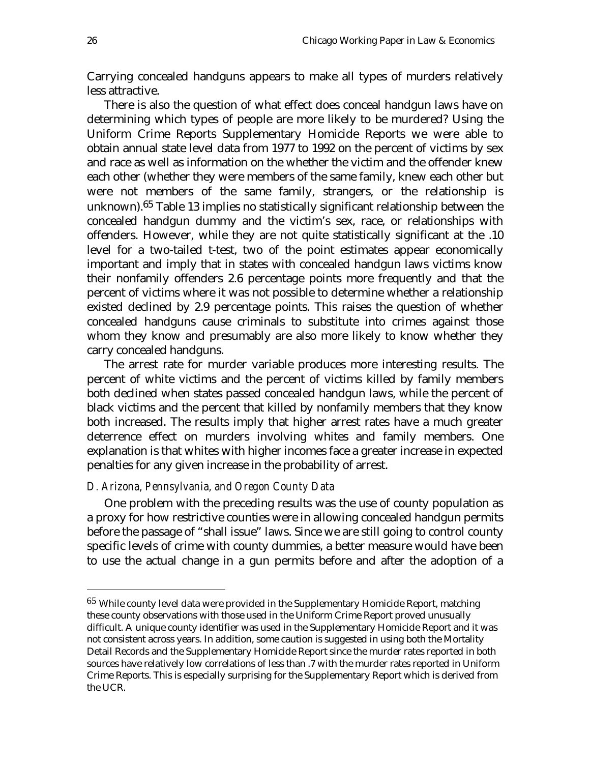Carrying concealed handguns appears to make all types of murders relatively less attractive.

There is also the question of what effect does conceal handgun laws have on determining which types of people are more likely to be murdered? Using the Uniform Crime Reports Supplementary Homicide Reports we were able to obtain annual state level data from 1977 to 1992 on the percent of victims by sex and race as well as information on the whether the victim and the offender knew each other (whether they were members of the same family, knew each other but were not members of the same family, strangers, or the relationship is unknown).65 Table 13 implies no statistically significant relationship between the concealed handgun dummy and the victim's sex, race, or relationships with offenders. However, while they are not quite statistically significant at the .10 level for a two-tailed t-test, two of the point estimates appear economically important and imply that in states with concealed handgun laws victims know their nonfamily offenders 2.6 percentage points more frequently and that the percent of victims where it was not possible to determine whether a relationship existed declined by 2.9 percentage points. This raises the question of whether concealed handguns cause criminals to substitute into crimes against those whom they know and presumably are also more likely to know whether they carry concealed handguns.

The arrest rate for murder variable produces more interesting results. The percent of white victims and the percent of victims killed by family members both declined when states passed concealed handgun laws, while the percent of black victims and the percent that killed by nonfamily members that they know both increased. The results imply that higher arrest rates have a much greater deterrence effect on murders involving whites and family members. One explanation is that whites with higher incomes face a greater increase in expected penalties for any given increase in the probability of arrest.

#### *D. Arizona, Pennsylvania, and Oregon County Data*

One problem with the preceding results was the use of county population as a proxy for how restrictive counties were in allowing concealed handgun permits before the passage of "shall issue" laws. Since we are still going to control county specific levels of crime with county dummies, a better measure would have been to use the actual change in a gun permits before and after the adoption of a

<sup>65</sup> While county level data were provided in the Supplementary Homicide Report, matching these county observations with those used in the Uniform Crime Report proved unusually difficult. A unique county identifier was used in the Supplementary Homicide Report and it was not consistent across years. In addition, some caution is suggested in using both the Mortality Detail Records and the Supplementary Homicide Report since the murder rates reported in both sources have relatively low correlations of less than .7 with the murder rates reported in Uniform Crime Reports. This is especially surprising for the Supplementary Report which is derived from the UCR.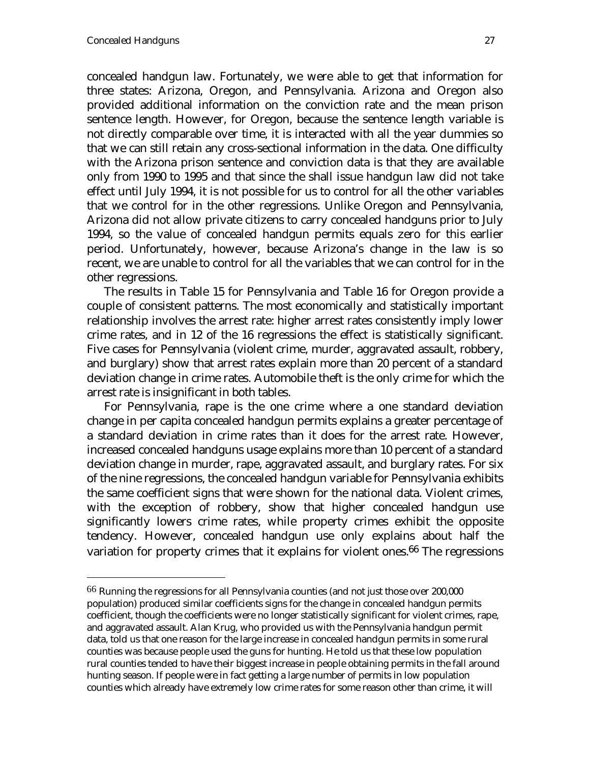concealed handgun law. Fortunately, we were able to get that information for three states: Arizona, Oregon, and Pennsylvania. Arizona and Oregon also provided additional information on the conviction rate and the mean prison sentence length. However, for Oregon, because the sentence length variable is not directly comparable over time, it is interacted with all the year dummies so that we can still retain any cross-sectional information in the data. One difficulty with the Arizona prison sentence and conviction data is that they are available only from 1990 to 1995 and that since the shall issue handgun law did not take effect until July 1994, it is not possible for us to control for all the other variables that we control for in the other regressions. Unlike Oregon and Pennsylvania, Arizona did not allow private citizens to carry concealed handguns prior to July 1994, so the value of concealed handgun permits equals zero for this earlier period. Unfortunately, however, because Arizona's change in the law is so recent, we are unable to control for all the variables that we can control for in the other regressions.

The results in Table 15 for Pennsylvania and Table 16 for Oregon provide a couple of consistent patterns. The most economically and statistically important relationship involves the arrest rate: higher arrest rates consistently imply lower crime rates, and in 12 of the 16 regressions the effect is statistically significant. Five cases for Pennsylvania (violent crime, murder, aggravated assault, robbery, and burglary) show that arrest rates explain more than 20 percent of a standard deviation change in crime rates. Automobile theft is the only crime for which the arrest rate is insignificant in both tables.

For Pennsylvania, rape is the one crime where a one standard deviation change in per capita concealed handgun permits explains a greater percentage of a standard deviation in crime rates than it does for the arrest rate. However, increased concealed handguns usage explains more than 10 percent of a standard deviation change in murder, rape, aggravated assault, and burglary rates. For six of the nine regressions, the concealed handgun variable for Pennsylvania exhibits the same coefficient signs that were shown for the national data. Violent crimes, with the exception of robbery, show that higher concealed handgun use significantly lowers crime rates, while property crimes exhibit the opposite tendency. However, concealed handgun use only explains about half the variation for property crimes that it explains for violent ones.<sup>66</sup> The regressions

<sup>&</sup>lt;sup>66</sup> Running the regressions for all Pennsylvania counties (and not just those over 200,000 population) produced similar coefficients signs for the change in concealed handgun permits coefficient, though the coefficients were no longer statistically significant for violent crimes, rape, and aggravated assault. Alan Krug, who provided us with the Pennsylvania handgun permit data, told us that one reason for the large increase in concealed handgun permits in some rural counties was because people used the guns for hunting. He told us that these low population rural counties tended to have their biggest increase in people obtaining permits in the fall around hunting season. If people were in fact getting a large number of permits in low population counties which already have extremely low crime rates for some reason other than crime, it will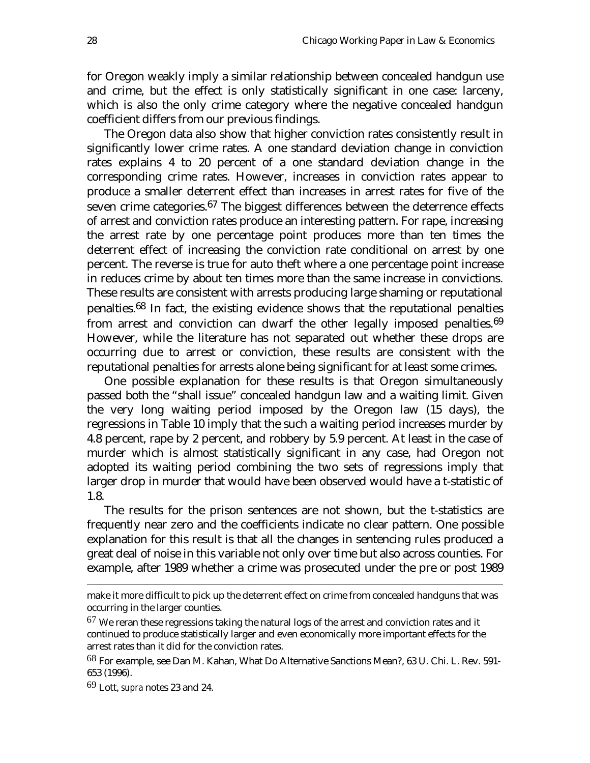for Oregon weakly imply a similar relationship between concealed handgun use and crime, but the effect is only statistically significant in one case: larceny, which is also the only crime category where the negative concealed handgun coefficient differs from our previous findings.

The Oregon data also show that higher conviction rates consistently result in significantly lower crime rates. A one standard deviation change in conviction rates explains 4 to 20 percent of a one standard deviation change in the corresponding crime rates. However, increases in conviction rates appear to produce a smaller deterrent effect than increases in arrest rates for five of the seven crime categories.<sup>67</sup> The biggest differences between the deterrence effects of arrest and conviction rates produce an interesting pattern. For rape, increasing the arrest rate by one percentage point produces more than ten times the deterrent effect of increasing the conviction rate conditional on arrest by one percent. The reverse is true for auto theft where a one percentage point increase in reduces crime by about ten times more than the same increase in convictions. These results are consistent with arrests producing large shaming or reputational penalties.68 In fact, the existing evidence shows that the reputational penalties from arrest and conviction can dwarf the other legally imposed penalties. $69$ However, while the literature has not separated out whether these drops are occurring due to arrest or conviction, these results are consistent with the reputational penalties for arrests alone being significant for at least some crimes.

One possible explanation for these results is that Oregon simultaneously passed both the "shall issue" concealed handgun law and a waiting limit. Given the very long waiting period imposed by the Oregon law (15 days), the regressions in Table 10 imply that the such a waiting period increases murder by 4.8 percent, rape by 2 percent, and robbery by 5.9 percent. At least in the case of murder which is almost statistically significant in any case, had Oregon not adopted its waiting period combining the two sets of regressions imply that larger drop in murder that would have been observed would have a t-statistic of 1.8.

The results for the prison sentences are not shown, but the t-statistics are frequently near zero and the coefficients indicate no clear pattern. One possible explanation for this result is that all the changes in sentencing rules produced a great deal of noise in this variable not only over time but also across counties. For example, after 1989 whether a crime was prosecuted under the pre or post 1989

make it more difficult to pick up the deterrent effect on crime from concealed handguns that was occurring in the larger counties.

<sup>&</sup>lt;sup>67</sup> We reran these regressions taking the natural logs of the arrest and conviction rates and it continued to produce statistically larger and even economically more important effects for the arrest rates than it did for the conviction rates.

<sup>68</sup> For example, see Dan M. Kahan, What Do Alternative Sanctions Mean?, 63 U. Chi. L. Rev. 591- 653 (1996).

<sup>69</sup> Lott, *supra* notes 23 and 24.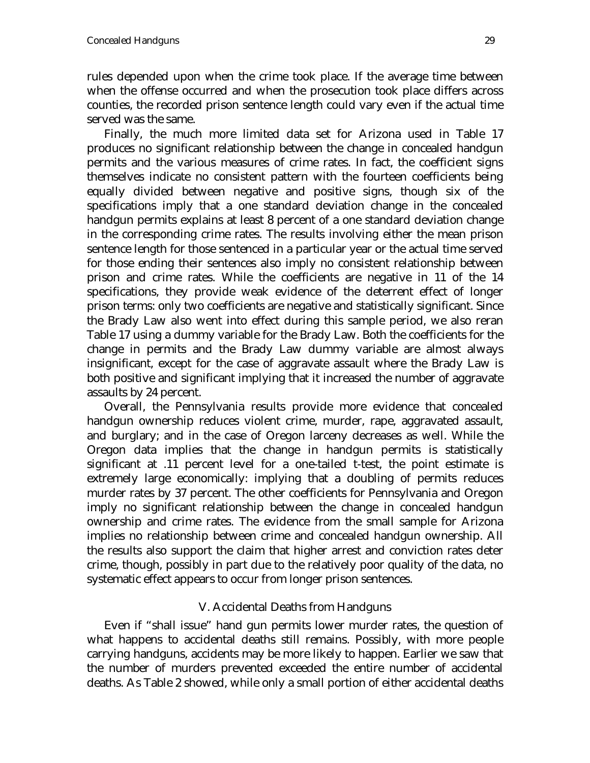rules depended upon when the crime took place. If the average time between when the offense occurred and when the prosecution took place differs across counties, the recorded prison sentence length could vary even if the actual time served was the same.

Finally, the much more limited data set for Arizona used in Table 17 produces no significant relationship between the change in concealed handgun permits and the various measures of crime rates. In fact, the coefficient signs themselves indicate no consistent pattern with the fourteen coefficients being equally divided between negative and positive signs, though six of the specifications imply that a one standard deviation change in the concealed handgun permits explains at least 8 percent of a one standard deviation change in the corresponding crime rates. The results involving either the mean prison sentence length for those sentenced in a particular year or the actual time served for those ending their sentences also imply no consistent relationship between prison and crime rates. While the coefficients are negative in 11 of the 14 specifications, they provide weak evidence of the deterrent effect of longer prison terms: only two coefficients are negative and statistically significant. Since the Brady Law also went into effect during this sample period, we also reran Table 17 using a dummy variable for the Brady Law. Both the coefficients for the change in permits and the Brady Law dummy variable are almost always insignificant, except for the case of aggravate assault where the Brady Law is both positive and significant implying that it increased the number of aggravate assaults by 24 percent.

Overall, the Pennsylvania results provide more evidence that concealed handgun ownership reduces violent crime, murder, rape, aggravated assault, and burglary; and in the case of Oregon larceny decreases as well. While the Oregon data implies that the change in handgun permits is statistically significant at .11 percent level for a one-tailed t-test, the point estimate is extremely large economically: implying that a doubling of permits reduces murder rates by 37 percent. The other coefficients for Pennsylvania and Oregon imply no significant relationship between the change in concealed handgun ownership and crime rates. The evidence from the small sample for Arizona implies no relationship between crime and concealed handgun ownership. All the results also support the claim that higher arrest and conviction rates deter crime, though, possibly in part due to the relatively poor quality of the data, no systematic effect appears to occur from longer prison sentences.

# V. Accidental Deaths from Handguns

Even if "shall issue" hand gun permits lower murder rates, the question of what happens to accidental deaths still remains. Possibly, with more people carrying handguns, accidents may be more likely to happen. Earlier we saw that the number of murders prevented exceeded the entire number of accidental deaths. As Table 2 showed, while only a small portion of either accidental deaths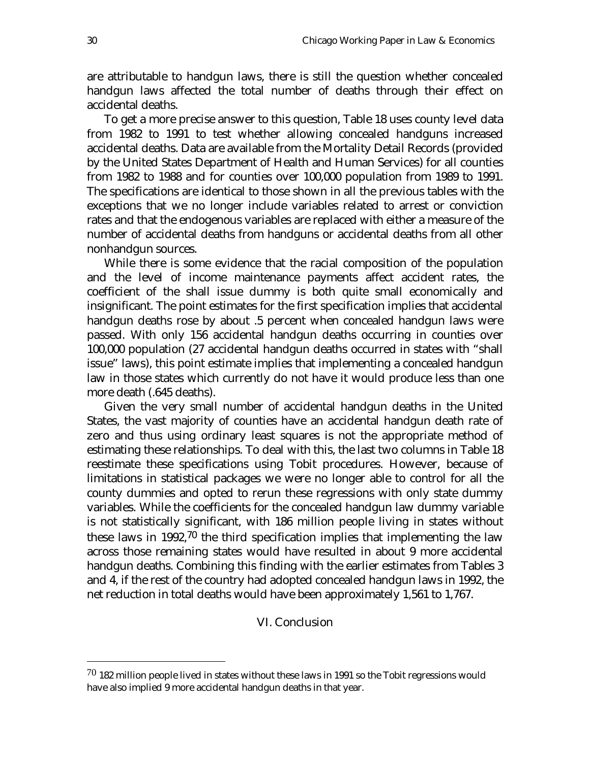are attributable to handgun laws, there is still the question whether concealed handgun laws affected the total number of deaths through their effect on accidental deaths.

To get a more precise answer to this question, Table 18 uses county level data from 1982 to 1991 to test whether allowing concealed handguns increased accidental deaths. Data are available from the Mortality Detail Records (provided by the United States Department of Health and Human Services) for all counties from 1982 to 1988 and for counties over 100,000 population from 1989 to 1991. The specifications are identical to those shown in all the previous tables with the exceptions that we no longer include variables related to arrest or conviction rates and that the endogenous variables are replaced with either a measure of the number of accidental deaths from handguns or accidental deaths from all other nonhandgun sources.

While there is some evidence that the racial composition of the population and the level of income maintenance payments affect accident rates, the coefficient of the shall issue dummy is both quite small economically and insignificant. The point estimates for the first specification implies that accidental handgun deaths rose by about .5 percent when concealed handgun laws were passed. With only 156 accidental handgun deaths occurring in counties over 100,000 population (27 accidental handgun deaths occurred in states with "shall issue" laws), this point estimate implies that implementing a concealed handgun law in those states which currently do not have it would produce less than one more death (.645 deaths).

Given the very small number of accidental handgun deaths in the United States, the vast majority of counties have an accidental handgun death rate of zero and thus using ordinary least squares is not the appropriate method of estimating these relationships. To deal with this, the last two columns in Table 18 reestimate these specifications using Tobit procedures. However, because of limitations in statistical packages we were no longer able to control for all the county dummies and opted to rerun these regressions with only state dummy variables. While the coefficients for the concealed handgun law dummy variable is not statistically significant, with 186 million people living in states without these laws in 1992,70 the third specification implies that implementing the law across those remaining states would have resulted in about 9 more accidental handgun deaths. Combining this finding with the earlier estimates from Tables 3 and 4, if the rest of the country had adopted concealed handgun laws in 1992, the net reduction in total deaths would have been approximately 1,561 to 1,767.

VI. Conclusion

 $70$  182 million people lived in states without these laws in 1991 so the Tobit regressions would have also implied 9 more accidental handgun deaths in that year.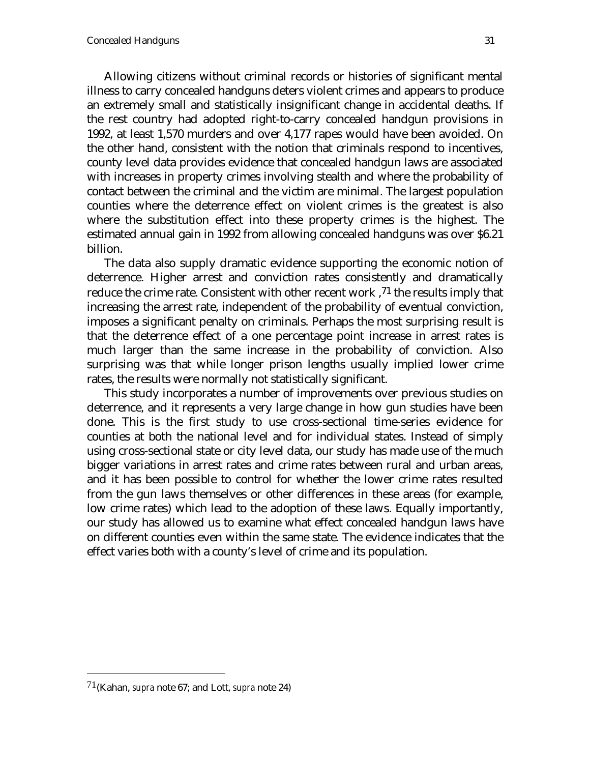Allowing citizens without criminal records or histories of significant mental illness to carry concealed handguns deters violent crimes and appears to produce an extremely small and statistically insignificant change in accidental deaths. If the rest country had adopted right-to-carry concealed handgun provisions in 1992, at least 1,570 murders and over 4,177 rapes would have been avoided. On the other hand, consistent with the notion that criminals respond to incentives, county level data provides evidence that concealed handgun laws are associated with increases in property crimes involving stealth and where the probability of contact between the criminal and the victim are minimal. The largest population counties where the deterrence effect on violent crimes is the greatest is also where the substitution effect into these property crimes is the highest. The estimated annual gain in 1992 from allowing concealed handguns was over \$6.21 billion.

The data also supply dramatic evidence supporting the economic notion of deterrence. Higher arrest and conviction rates consistently and dramatically reduce the crime rate. Consistent with other recent work ,71 the results imply that increasing the arrest rate, independent of the probability of eventual conviction, imposes a significant penalty on criminals. Perhaps the most surprising result is that the deterrence effect of a one percentage point increase in arrest rates is much larger than the same increase in the probability of conviction. Also surprising was that while longer prison lengths usually implied lower crime rates, the results were normally not statistically significant.

This study incorporates a number of improvements over previous studies on deterrence, and it represents a very large change in how gun studies have been done. This is the first study to use cross-sectional time-series evidence for counties at both the national level and for individual states. Instead of simply using cross-sectional state or city level data, our study has made use of the much bigger variations in arrest rates and crime rates between rural and urban areas, and it has been possible to control for whether the lower crime rates resulted from the gun laws themselves or other differences in these areas (for example, low crime rates) which lead to the adoption of these laws. Equally importantly, our study has allowed us to examine what effect concealed handgun laws have on different counties even within the same state. The evidence indicates that the effect varies both with a county's level of crime and its population.

<sup>71</sup>(Kahan, *supra* note 67; and Lott, *supra* note 24)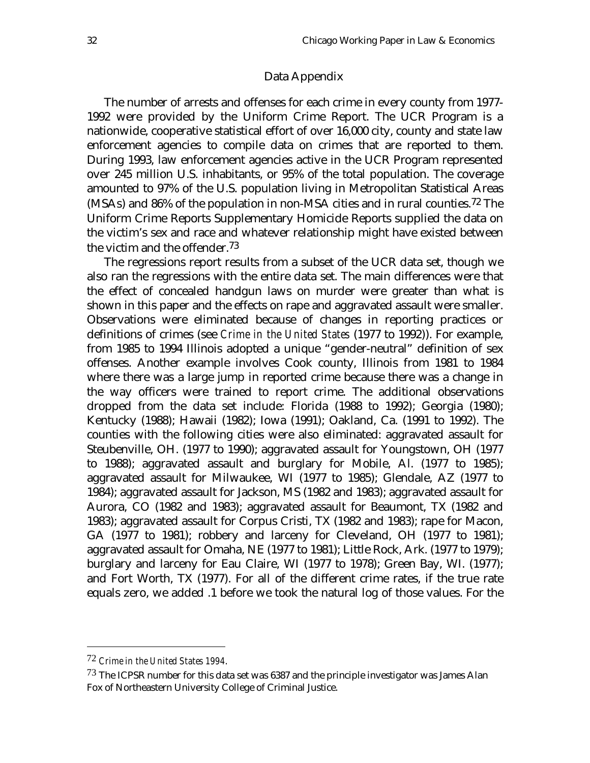#### Data Appendix

The number of arrests and offenses for each crime in every county from 1977- 1992 were provided by the Uniform Crime Report. The UCR Program is a nationwide, cooperative statistical effort of over 16,000 city, county and state law enforcement agencies to compile data on crimes that are reported to them. During 1993, law enforcement agencies active in the UCR Program represented over 245 million U.S. inhabitants, or 95% of the total population. The coverage amounted to 97% of the U.S. population living in Metropolitan Statistical Areas (MSAs) and 86% of the population in non-MSA cities and in rural counties.72 The Uniform Crime Reports Supplementary Homicide Reports supplied the data on the victim's sex and race and whatever relationship might have existed between the victim and the offender.73

The regressions report results from a subset of the UCR data set, though we also ran the regressions with the entire data set. The main differences were that the effect of concealed handgun laws on murder were greater than what is shown in this paper and the effects on rape and aggravated assault were smaller. Observations were eliminated because of changes in reporting practices or definitions of crimes (see *Crime in the United States* (1977 to 1992)). For example, from 1985 to 1994 Illinois adopted a unique "gender-neutral" definition of sex offenses. Another example involves Cook county, Illinois from 1981 to 1984 where there was a large jump in reported crime because there was a change in the way officers were trained to report crime. The additional observations dropped from the data set include: Florida (1988 to 1992); Georgia (1980); Kentucky (1988); Hawaii (1982); Iowa (1991); Oakland, Ca. (1991 to 1992). The counties with the following cities were also eliminated: aggravated assault for Steubenville, OH. (1977 to 1990); aggravated assault for Youngstown, OH (1977 to 1988); aggravated assault and burglary for Mobile, Al. (1977 to 1985); aggravated assault for Milwaukee, WI (1977 to 1985); Glendale, AZ (1977 to 1984); aggravated assault for Jackson, MS (1982 and 1983); aggravated assault for Aurora, CO (1982 and 1983); aggravated assault for Beaumont, TX (1982 and 1983); aggravated assault for Corpus Cristi, TX (1982 and 1983); rape for Macon, GA (1977 to 1981); robbery and larceny for Cleveland, OH (1977 to 1981); aggravated assault for Omaha, NE (1977 to 1981); Little Rock, Ark. (1977 to 1979); burglary and larceny for Eau Claire, WI (1977 to 1978); Green Bay, WI. (1977); and Fort Worth, TX (1977). For all of the different crime rates, if the true rate equals zero, we added .1 before we took the natural log of those values. For the

<sup>72</sup> *Crime in the United States 1994*.

 $73$  The ICPSR number for this data set was 6387 and the principle investigator was James Alan Fox of Northeastern University College of Criminal Justice.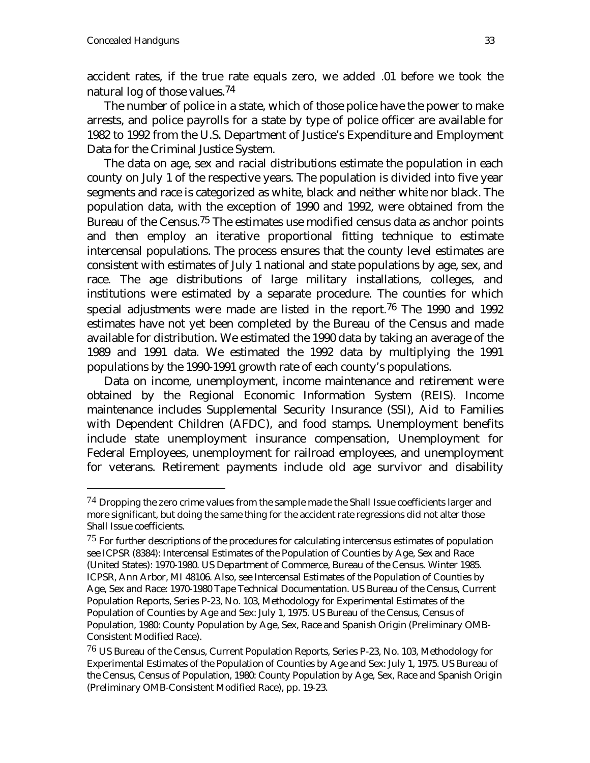accident rates, if the true rate equals zero, we added .01 before we took the natural log of those values.74

The number of police in a state, which of those police have the power to make arrests, and police payrolls for a state by type of police officer are available for 1982 to 1992 from the U.S. Department of Justice's Expenditure and Employment Data for the Criminal Justice System.

The data on age, sex and racial distributions estimate the population in each county on July 1 of the respective years. The population is divided into five year segments and race is categorized as white, black and neither white nor black. The population data, with the exception of 1990 and 1992, were obtained from the Bureau of the Census.75 The estimates use modified census data as anchor points and then employ an iterative proportional fitting technique to estimate intercensal populations. The process ensures that the county level estimates are consistent with estimates of July 1 national and state populations by age, sex, and race. The age distributions of large military installations, colleges, and institutions were estimated by a separate procedure. The counties for which special adjustments were made are listed in the report.<sup>76</sup> The 1990 and 1992 estimates have not yet been completed by the Bureau of the Census and made available for distribution. We estimated the 1990 data by taking an average of the 1989 and 1991 data. We estimated the 1992 data by multiplying the 1991 populations by the 1990-1991 growth rate of each county's populations.

Data on income, unemployment, income maintenance and retirement were obtained by the Regional Economic Information System (REIS). Income maintenance includes Supplemental Security Insurance (SSI), Aid to Families with Dependent Children (AFDC), and food stamps. Unemployment benefits include state unemployment insurance compensation, Unemployment for Federal Employees, unemployment for railroad employees, and unemployment for veterans. Retirement payments include old age survivor and disability

<sup>&</sup>lt;sup>74</sup> Dropping the zero crime values from the sample made the Shall Issue coefficients larger and more significant, but doing the same thing for the accident rate regressions did not alter those Shall Issue coefficients.

<sup>&</sup>lt;sup>75</sup> For further descriptions of the procedures for calculating intercensus estimates of population see ICPSR (8384): Intercensal Estimates of the Population of Counties by Age, Sex and Race (United States): 1970-1980. US Department of Commerce, Bureau of the Census. Winter 1985. ICPSR, Ann Arbor, MI 48106. Also, see Intercensal Estimates of the Population of Counties by Age, Sex and Race: 1970-1980 Tape Technical Documentation. US Bureau of the Census, Current Population Reports, Series P-23, No. 103, Methodology for Experimental Estimates of the Population of Counties by Age and Sex: July 1, 1975. US Bureau of the Census, Census of Population, 1980: County Population by Age, Sex, Race and Spanish Origin (Preliminary OMB-Consistent Modified Race).

<sup>76</sup> US Bureau of the Census, Current Population Reports, Series P-23, No. 103, Methodology for Experimental Estimates of the Population of Counties by Age and Sex: July 1, 1975. US Bureau of the Census, Census of Population, 1980: County Population by Age, Sex, Race and Spanish Origin (Preliminary OMB-Consistent Modified Race), pp. 19-23.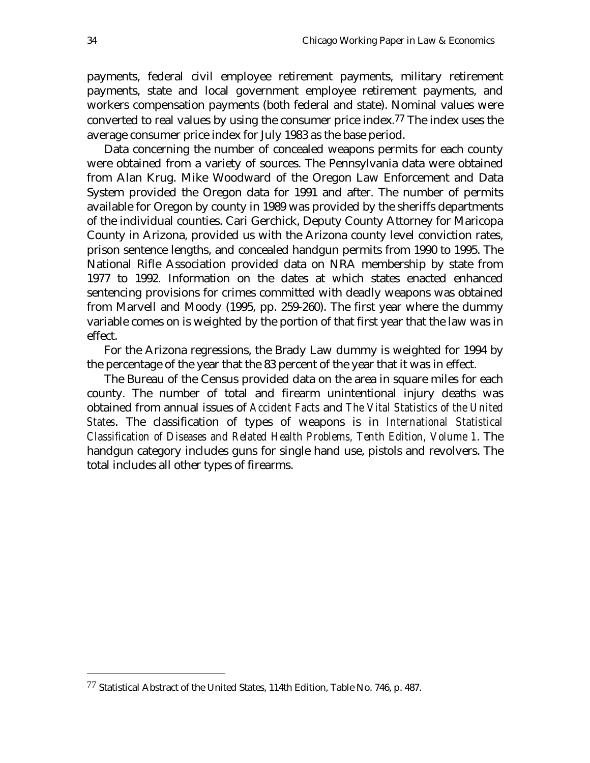payments, federal civil employee retirement payments, military retirement payments, state and local government employee retirement payments, and workers compensation payments (both federal and state). Nominal values were converted to real values by using the consumer price index.77 The index uses the average consumer price index for July 1983 as the base period.

Data concerning the number of concealed weapons permits for each county were obtained from a variety of sources. The Pennsylvania data were obtained from Alan Krug. Mike Woodward of the Oregon Law Enforcement and Data System provided the Oregon data for 1991 and after. The number of permits available for Oregon by county in 1989 was provided by the sheriffs departments of the individual counties. Cari Gerchick, Deputy County Attorney for Maricopa County in Arizona, provided us with the Arizona county level conviction rates, prison sentence lengths, and concealed handgun permits from 1990 to 1995. The National Rifle Association provided data on NRA membership by state from 1977 to 1992. Information on the dates at which states enacted enhanced sentencing provisions for crimes committed with deadly weapons was obtained from Marvell and Moody (1995, pp. 259-260). The first year where the dummy variable comes on is weighted by the portion of that first year that the law was in effect.

For the Arizona regressions, the Brady Law dummy is weighted for 1994 by the percentage of the year that the 83 percent of the year that it was in effect.

The Bureau of the Census provided data on the area in square miles for each county. The number of total and firearm unintentional injury deaths was obtained from annual issues of *Accident Facts* and *The Vital Statistics of the United States*. The classification of types of weapons is in *International Statistical Classification of Diseases and Related Health Problems, Tenth Edition, Volume 1*. The handgun category includes guns for single hand use, pistols and revolvers. The total includes all other types of firearms.

<sup>77</sup> Statistical Abstract of the United States, 114th Edition, Table No. 746, p. 487.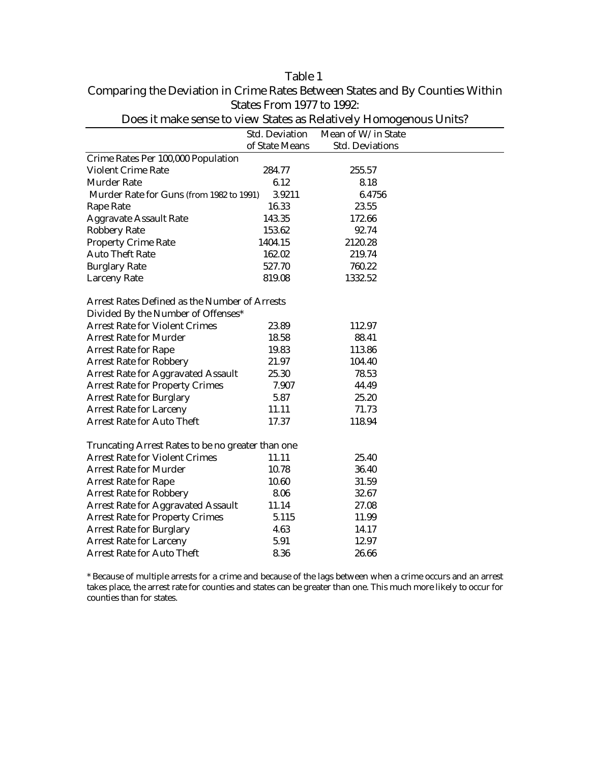#### Table 1

# Comparing the Deviation in Crime Rates Between States and By Counties Within States From 1977 to 1992:

|                                                   | Mean of W/in State<br>Std. Deviation |                        |  |
|---------------------------------------------------|--------------------------------------|------------------------|--|
|                                                   | of State Means                       | <b>Std. Deviations</b> |  |
| Crime Rates Per 100,000 Population                |                                      |                        |  |
| <b>Violent Crime Rate</b>                         | 284.77                               | 255.57                 |  |
| <b>Murder Rate</b>                                | 6.12                                 | 8.18                   |  |
| Murder Rate for Guns (from 1982 to 1991)          | 3.9211                               | 6.4756                 |  |
| Rape Rate                                         | 16.33                                | 23.55                  |  |
| <b>Aggravate Assault Rate</b>                     | 143.35                               | 172.66                 |  |
| <b>Robbery Rate</b>                               | 153.62                               | 92.74                  |  |
| <b>Property Crime Rate</b>                        | 1404.15                              | 2120.28                |  |
| <b>Auto Theft Rate</b>                            | 162.02                               | 219.74                 |  |
| <b>Burglary Rate</b>                              | 527.70                               | 760.22                 |  |
| <b>Larceny Rate</b>                               | 819.08                               | 1332.52                |  |
| Arrest Rates Defined as the Number of Arrests     |                                      |                        |  |
| Divided By the Number of Offenses*                |                                      |                        |  |
| <b>Arrest Rate for Violent Crimes</b>             | 23.89                                | 112.97                 |  |
| <b>Arrest Rate for Murder</b>                     | 18.58                                | 88.41                  |  |
| <b>Arrest Rate for Rape</b>                       | 19.83                                | 113.86                 |  |
| <b>Arrest Rate for Robbery</b>                    | 21.97                                | 104.40                 |  |
| <b>Arrest Rate for Aggravated Assault</b>         | 25.30                                | 78.53                  |  |
| <b>Arrest Rate for Property Crimes</b>            | 7.907                                | 44.49                  |  |
| <b>Arrest Rate for Burglary</b>                   | 5.87                                 | 25.20                  |  |
| <b>Arrest Rate for Larceny</b>                    | 11.11                                | 71.73                  |  |
| <b>Arrest Rate for Auto Theft</b>                 | 17.37                                | 118.94                 |  |
| Truncating Arrest Rates to be no greater than one |                                      |                        |  |
| <b>Arrest Rate for Violent Crimes</b>             | 11.11                                | 25.40                  |  |
| <b>Arrest Rate for Murder</b>                     | 10.78                                | 36.40                  |  |
| <b>Arrest Rate for Rape</b>                       | 10.60                                | 31.59                  |  |
| <b>Arrest Rate for Robbery</b>                    | 8.06                                 | 32.67                  |  |
| Arrest Rate for Aggravated Assault                | 11.14                                | 27.08                  |  |
| <b>Arrest Rate for Property Crimes</b>            | 5.115                                | 11.99                  |  |
| <b>Arrest Rate for Burglary</b>                   | 4.63                                 | 14.17                  |  |
| <b>Arrest Rate for Larceny</b>                    | 5.91                                 | 12.97                  |  |
| <b>Arrest Rate for Auto Theft</b>                 | 8.36                                 | 26.66                  |  |

Does it make sense to view States as Relatively Homogenous Units?

\* Because of multiple arrests for a crime and because of the lags between when a crime occurs and an arrest takes place, the arrest rate for counties and states can be greater than one. This much more likely to occur for counties than for states.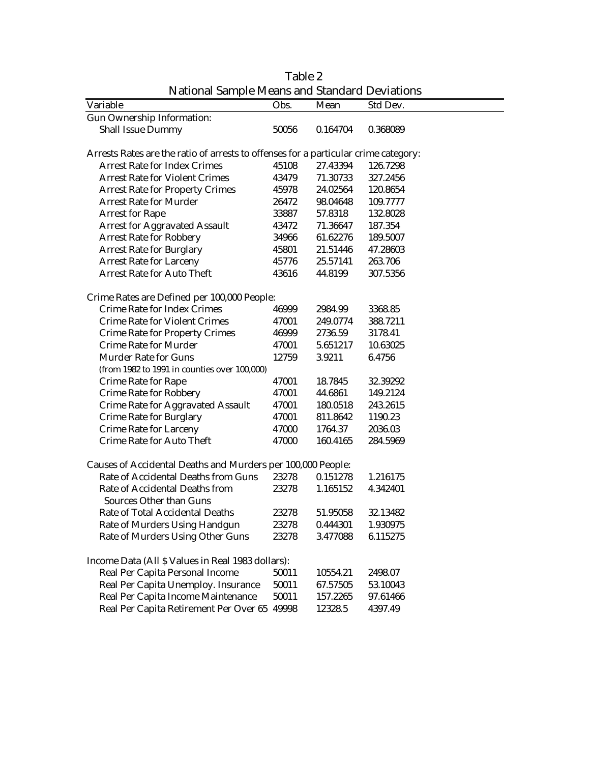| <b>National Sample Means and Standard Deviations</b>                                                                                                        |       |          |          |  |  |  |  |
|-------------------------------------------------------------------------------------------------------------------------------------------------------------|-------|----------|----------|--|--|--|--|
| Variable                                                                                                                                                    | Obs.  | Mean     | Std Dev. |  |  |  |  |
| <b>Gun Ownership Information:</b>                                                                                                                           |       |          |          |  |  |  |  |
| <b>Shall Issue Dummy</b>                                                                                                                                    | 50056 | 0.164704 | 0.368089 |  |  |  |  |
|                                                                                                                                                             |       |          |          |  |  |  |  |
| Arrests Rates are the ratio of arrests to offenses for a particular crime category:<br><b>Arrest Rate for Index Crimes</b><br>45108<br>27.43394<br>126.7298 |       |          |          |  |  |  |  |
| <b>Arrest Rate for Violent Crimes</b>                                                                                                                       | 43479 | 71.30733 | 327.2456 |  |  |  |  |
| <b>Arrest Rate for Property Crimes</b>                                                                                                                      | 45978 | 24.02564 | 120.8654 |  |  |  |  |
| <b>Arrest Rate for Murder</b>                                                                                                                               | 26472 | 98.04648 | 109.7777 |  |  |  |  |
| <b>Arrest for Rape</b>                                                                                                                                      | 33887 | 57.8318  | 132.8028 |  |  |  |  |
| <b>Arrest for Aggravated Assault</b>                                                                                                                        | 43472 | 71.36647 | 187.354  |  |  |  |  |
| <b>Arrest Rate for Robbery</b>                                                                                                                              | 34966 | 61.62276 | 189.5007 |  |  |  |  |
| <b>Arrest Rate for Burglary</b>                                                                                                                             | 45801 | 21.51446 | 47.28603 |  |  |  |  |
| <b>Arrest Rate for Larceny</b>                                                                                                                              | 45776 | 25.57141 | 263.706  |  |  |  |  |
| <b>Arrest Rate for Auto Theft</b>                                                                                                                           | 43616 | 44.8199  | 307.5356 |  |  |  |  |
|                                                                                                                                                             |       |          |          |  |  |  |  |
| Crime Rates are Defined per 100,000 People:                                                                                                                 |       |          |          |  |  |  |  |
| <b>Crime Rate for Index Crimes</b>                                                                                                                          | 46999 | 2984.99  | 3368.85  |  |  |  |  |
| <b>Crime Rate for Violent Crimes</b>                                                                                                                        | 47001 | 249.0774 | 388.7211 |  |  |  |  |
| <b>Crime Rate for Property Crimes</b>                                                                                                                       | 46999 | 2736.59  | 3178.41  |  |  |  |  |
| <b>Crime Rate for Murder</b>                                                                                                                                | 47001 | 5.651217 | 10.63025 |  |  |  |  |
| <b>Murder Rate for Guns</b>                                                                                                                                 | 12759 | 3.9211   | 6.4756   |  |  |  |  |
| (from 1982 to 1991 in counties over 100,000)                                                                                                                |       |          |          |  |  |  |  |
| <b>Crime Rate for Rape</b>                                                                                                                                  | 47001 | 18.7845  | 32.39292 |  |  |  |  |
| <b>Crime Rate for Robbery</b>                                                                                                                               | 47001 | 44.6861  | 149.2124 |  |  |  |  |
| <b>Crime Rate for Aggravated Assault</b>                                                                                                                    | 47001 | 180.0518 | 243.2615 |  |  |  |  |
| <b>Crime Rate for Burglary</b>                                                                                                                              | 47001 | 811.8642 | 1190.23  |  |  |  |  |
| <b>Crime Rate for Larceny</b>                                                                                                                               | 47000 | 1764.37  | 2036.03  |  |  |  |  |
| <b>Crime Rate for Auto Theft</b>                                                                                                                            | 47000 | 160.4165 | 284.5969 |  |  |  |  |
| Causes of Accidental Deaths and Murders per 100,000 People:                                                                                                 |       |          |          |  |  |  |  |
| Rate of Accidental Deaths from Guns                                                                                                                         | 23278 | 0.151278 | 1.216175 |  |  |  |  |
| Rate of Accidental Deaths from                                                                                                                              | 23278 | 1.165152 | 4.342401 |  |  |  |  |
| Sources Other than Guns                                                                                                                                     |       |          |          |  |  |  |  |
| Rate of Total Accidental Deaths                                                                                                                             | 23278 | 51.95058 | 32.13482 |  |  |  |  |
| Rate of Murders Using Handgun                                                                                                                               | 23278 | 0.444301 | 1.930975 |  |  |  |  |
| Rate of Murders Using Other Guns                                                                                                                            | 23278 | 3.477088 | 6.115275 |  |  |  |  |
|                                                                                                                                                             |       |          |          |  |  |  |  |
| Income Data (All \$ Values in Real 1983 dollars):                                                                                                           |       |          |          |  |  |  |  |
| Real Per Capita Personal Income                                                                                                                             | 50011 | 10554.21 | 2498.07  |  |  |  |  |
| Real Per Capita Unemploy. Insurance                                                                                                                         | 50011 | 67.57505 | 53.10043 |  |  |  |  |
| Real Per Capita Income Maintenance                                                                                                                          | 50011 | 157.2265 | 97.61466 |  |  |  |  |
| Real Per Capita Retirement Per Over 65                                                                                                                      | 49998 | 12328.5  | 4397.49  |  |  |  |  |

 $Table 2\n\n $\text{rad St}$$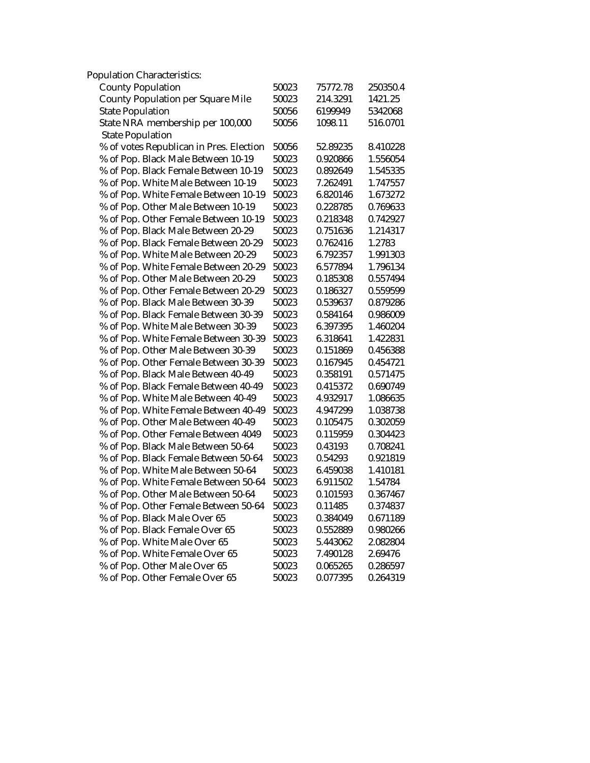| <b>Population Characteristics:</b>       |       |          |          |
|------------------------------------------|-------|----------|----------|
| <b>County Population</b>                 | 50023 | 75772.78 | 250350.4 |
| <b>County Population per Square Mile</b> | 50023 | 214.3291 | 1421.25  |
| <b>State Population</b>                  | 50056 | 6199949  | 5342068  |
| State NRA membership per 100,000         | 50056 | 1098.11  | 516.0701 |
| <b>State Population</b>                  |       |          |          |
| % of votes Republican in Pres. Election  | 50056 | 52.89235 | 8.410228 |
| % of Pop. Black Male Between 10-19       | 50023 | 0.920866 | 1.556054 |
| % of Pop. Black Female Between 10-19     | 50023 | 0.892649 | 1.545335 |
| % of Pop. White Male Between 10-19       | 50023 | 7.262491 | 1.747557 |
| % of Pop. White Female Between 10-19     | 50023 | 6.820146 | 1.673272 |
| % of Pop. Other Male Between 10-19       | 50023 | 0.228785 | 0.769633 |
| % of Pop. Other Female Between 10-19     | 50023 | 0.218348 | 0.742927 |
| % of Pop. Black Male Between 20-29       | 50023 | 0.751636 | 1.214317 |
| % of Pop. Black Female Between 20-29     | 50023 | 0.762416 | 1.2783   |
| % of Pop. White Male Between 20-29       | 50023 | 6.792357 | 1.991303 |
| % of Pop. White Female Between 20-29     | 50023 | 6.577894 | 1.796134 |
| % of Pop. Other Male Between 20-29       | 50023 | 0.185308 | 0.557494 |
| % of Pop. Other Female Between 20-29     | 50023 | 0.186327 | 0.559599 |
| % of Pop. Black Male Between 30-39       | 50023 | 0.539637 | 0.879286 |
| % of Pop. Black Female Between 30-39     | 50023 | 0.584164 | 0.986009 |
| % of Pop. White Male Between 30-39       | 50023 | 6.397395 | 1.460204 |
| % of Pop. White Female Between 30-39     | 50023 | 6.318641 | 1.422831 |
| % of Pop. Other Male Between 30-39       | 50023 | 0.151869 | 0.456388 |
| % of Pop. Other Female Between 30-39     | 50023 | 0.167945 | 0.454721 |
| % of Pop. Black Male Between 40-49       | 50023 | 0.358191 | 0.571475 |
| % of Pop. Black Female Between 40-49     | 50023 | 0.415372 | 0.690749 |
| % of Pop. White Male Between 40-49       | 50023 | 4.932917 | 1.086635 |
| % of Pop. White Female Between 40-49     | 50023 | 4.947299 | 1.038738 |
| % of Pop. Other Male Between 40-49       | 50023 | 0.105475 | 0.302059 |
| % of Pop. Other Female Between 4049      | 50023 | 0.115959 | 0.304423 |
| % of Pop. Black Male Between 50-64       | 50023 | 0.43193  | 0.708241 |
| % of Pop. Black Female Between 50-64     | 50023 | 0.54293  | 0.921819 |
| % of Pop. White Male Between 50-64       | 50023 | 6.459038 | 1.410181 |
| % of Pop. White Female Between 50-64     | 50023 | 6.911502 | 1.54784  |
| % of Pop. Other Male Between 50-64       | 50023 | 0.101593 | 0.367467 |
| % of Pop. Other Female Between 50-64     | 50023 | 0.11485  | 0.374837 |
| % of Pop. Black Male Over 65             | 50023 | 0.384049 | 0.671189 |
| % of Pop. Black Female Over 65           | 50023 | 0.552889 | 0.980266 |
| % of Pop. White Male Over 65             | 50023 | 5.443062 | 2.082804 |
| % of Pop. White Female Over 65           | 50023 | 7.490128 | 2.69476  |
| % of Pop. Other Male Over 65             | 50023 | 0.065265 | 0.286597 |
| % of Pop. Other Female Over 65           | 50023 | 0.077395 | 0.264319 |
|                                          |       |          |          |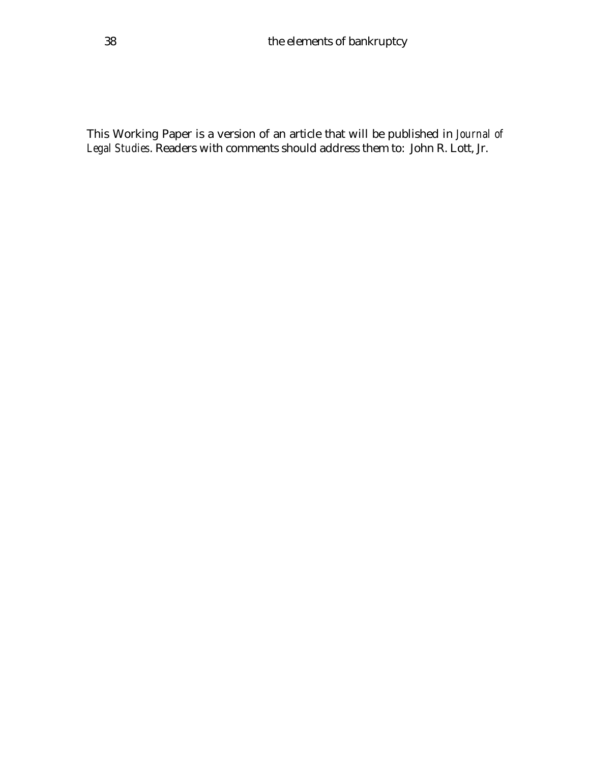This Working Paper is a version of an article that will be published in *Journal of Legal Studies*. Readers with comments should address them to: John R. Lott, Jr.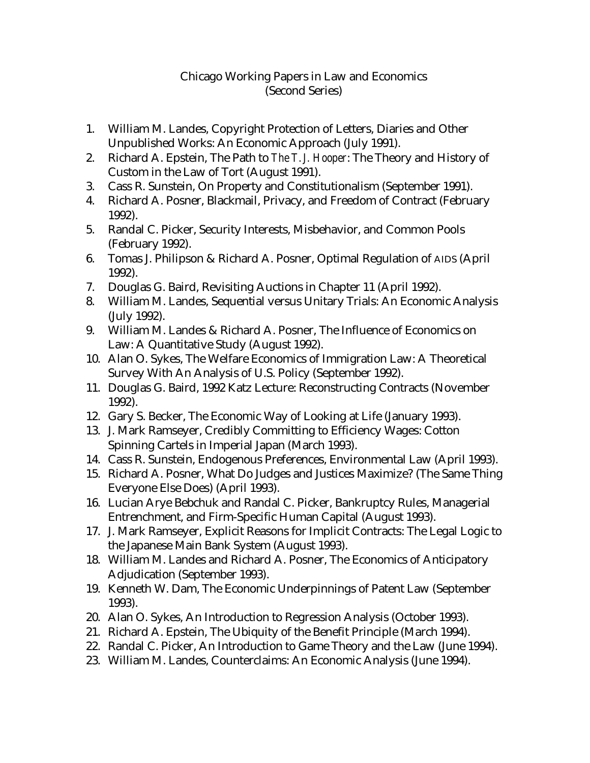# Chicago Working Papers in Law and Economics (Second Series)

- 1. William M. Landes, Copyright Protection of Letters, Diaries and Other Unpublished Works: An Economic Approach (July 1991).
- 2. Richard A. Epstein, The Path to *The T. J. Hooper*: The Theory and History of Custom in the Law of Tort (August 1991).
- 3. Cass R. Sunstein, On Property and Constitutionalism (September 1991).
- 4. Richard A. Posner, Blackmail, Privacy, and Freedom of Contract (February 1992).
- 5. Randal C. Picker, Security Interests, Misbehavior, and Common Pools (February 1992).
- 6. Tomas J. Philipson & Richard A. Posner, Optimal Regulation of AIDS (April 1992).
- 7. Douglas G. Baird, Revisiting Auctions in Chapter 11 (April 1992).
- 8. William M. Landes, Sequential versus Unitary Trials: An Economic Analysis (July 1992).
- 9. William M. Landes & Richard A. Posner, The Influence of Economics on Law: A Quantitative Study (August 1992).
- 10. Alan O. Sykes, The Welfare Economics of Immigration Law: A Theoretical Survey With An Analysis of U.S. Policy (September 1992).
- 11. Douglas G. Baird, 1992 Katz Lecture: Reconstructing Contracts (November 1992).
- 12. Gary S. Becker, The Economic Way of Looking at Life (January 1993).
- 13. J. Mark Ramseyer, Credibly Committing to Efficiency Wages: Cotton Spinning Cartels in Imperial Japan (March 1993).
- 14. Cass R. Sunstein, Endogenous Preferences, Environmental Law (April 1993).
- 15. Richard A. Posner, What Do Judges and Justices Maximize? (The Same Thing Everyone Else Does) (April 1993).
- 16. Lucian Arye Bebchuk and Randal C. Picker, Bankruptcy Rules, Managerial Entrenchment, and Firm-Specific Human Capital (August 1993).
- 17. J. Mark Ramseyer, Explicit Reasons for Implicit Contracts: The Legal Logic to the Japanese Main Bank System (August 1993).
- 18. William M. Landes and Richard A. Posner, The Economics of Anticipatory Adjudication (September 1993).
- 19. Kenneth W. Dam, The Economic Underpinnings of Patent Law (September 1993).
- 20. Alan O. Sykes, An Introduction to Regression Analysis (October 1993).
- 21. Richard A. Epstein, The Ubiquity of the Benefit Principle (March 1994).
- 22. Randal C. Picker, An Introduction to Game Theory and the Law (June 1994).
- 23. William M. Landes, Counterclaims: An Economic Analysis (June 1994).